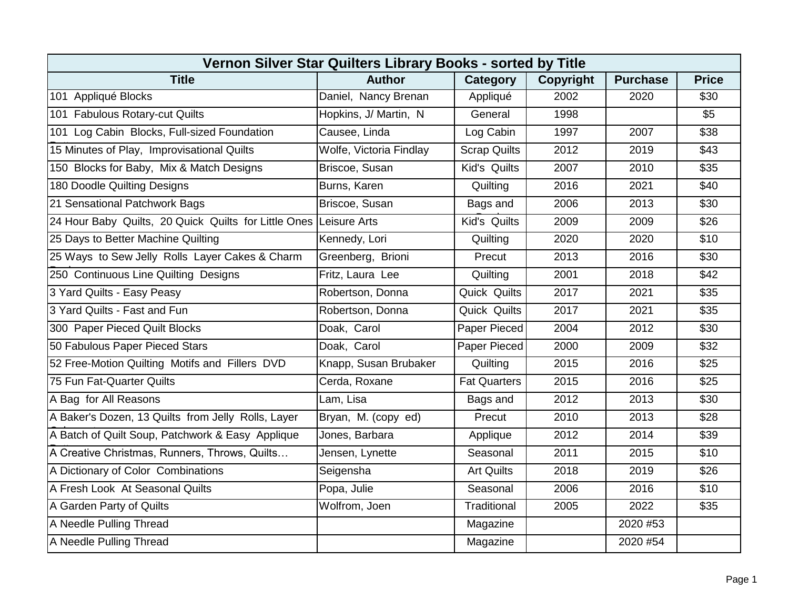| Vernon Silver Star Quilters Library Books - sorted by Title       |                         |                     |           |                 |              |  |  |  |
|-------------------------------------------------------------------|-------------------------|---------------------|-----------|-----------------|--------------|--|--|--|
| <b>Title</b>                                                      | <b>Author</b>           | Category            | Copyright | <b>Purchase</b> | <b>Price</b> |  |  |  |
| 101 Appliqué Blocks                                               | Daniel, Nancy Brenan    | Appliqué            | 2002      | 2020            | \$30         |  |  |  |
| 101 Fabulous Rotary-cut Quilts                                    | Hopkins, J/ Martin, N   | General             | 1998      |                 | \$5          |  |  |  |
| 101 Log Cabin Blocks, Full-sized Foundation                       | Causee, Linda           | Log Cabin           | 1997      | 2007            | \$38         |  |  |  |
| 15 Minutes of Play, Improvisational Quilts                        | Wolfe, Victoria Findlay | <b>Scrap Quilts</b> | 2012      | 2019            | \$43         |  |  |  |
| 150 Blocks for Baby, Mix & Match Designs                          | Briscoe, Susan          | Kid's Quilts        | 2007      | 2010            | \$35         |  |  |  |
| 180 Doodle Quilting Designs                                       | Burns, Karen            | Quilting            | 2016      | 2021            | \$40         |  |  |  |
| 21 Sensational Patchwork Bags                                     | Briscoe, Susan          | Bags and            | 2006      | 2013            | \$30         |  |  |  |
| 24 Hour Baby Quilts, 20 Quick Quilts for Little Ones Leisure Arts |                         | Kid's Quilts        | 2009      | 2009            | \$26         |  |  |  |
| 25 Days to Better Machine Quilting                                | Kennedy, Lori           | Quilting            | 2020      | 2020            | \$10         |  |  |  |
| 25 Ways to Sew Jelly Rolls Layer Cakes & Charm                    | Greenberg, Brioni       | Precut              | 2013      | 2016            | \$30         |  |  |  |
| 250 Continuous Line Quilting Designs                              | Fritz, Laura Lee        | Quilting            | 2001      | 2018            | \$42         |  |  |  |
| 3 Yard Quilts - Easy Peasy                                        | Robertson, Donna        | Quick Quilts        | 2017      | 2021            | \$35         |  |  |  |
| 3 Yard Quilts - Fast and Fun                                      | Robertson, Donna        | Quick Quilts        | 2017      | 2021            | \$35         |  |  |  |
| 300 Paper Pieced Quilt Blocks                                     | Doak, Carol             | Paper Pieced        | 2004      | 2012            | \$30         |  |  |  |
| 50 Fabulous Paper Pieced Stars                                    | Doak, Carol             | Paper Pieced        | 2000      | 2009            | \$32         |  |  |  |
| 52 Free-Motion Quilting Motifs and Fillers DVD                    | Knapp, Susan Brubaker   | Quilting            | 2015      | 2016            | \$25         |  |  |  |
| 75 Fun Fat-Quarter Quilts                                         | Cerda, Roxane           | <b>Fat Quarters</b> | 2015      | 2016            | \$25         |  |  |  |
| A Bag for All Reasons                                             | Lam, Lisa               | Bags and            | 2012      | 2013            | \$30         |  |  |  |
| A Baker's Dozen, 13 Quilts from Jelly Rolls, Layer                | Bryan, M. (copy ed)     | Precut              | 2010      | 2013            | \$28         |  |  |  |
| A Batch of Quilt Soup, Patchwork & Easy Applique                  | Jones, Barbara          | Applique            | 2012      | 2014            | \$39         |  |  |  |
| A Creative Christmas, Runners, Throws, Quilts                     | Jensen, Lynette         | Seasonal            | 2011      | 2015            | \$10         |  |  |  |
| A Dictionary of Color Combinations                                | Seigensha               | <b>Art Quilts</b>   | 2018      | 2019            | \$26         |  |  |  |
| A Fresh Look At Seasonal Quilts                                   | Popa, Julie             | Seasonal            | 2006      | 2016            | \$10         |  |  |  |
| A Garden Party of Quilts                                          | Wolfrom, Joen           | Traditional         | 2005      | 2022            | \$35         |  |  |  |
| A Needle Pulling Thread                                           |                         | Magazine            |           | 2020 #53        |              |  |  |  |
| A Needle Pulling Thread                                           |                         | Magazine            |           | 2020 #54        |              |  |  |  |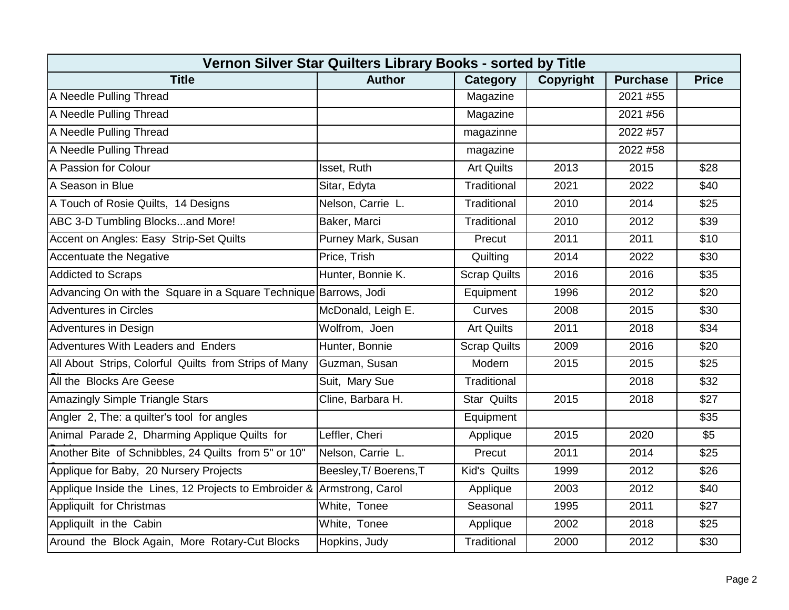| Vernon Silver Star Quilters Library Books - sorted by Title      |                        |                     |                  |                 |              |  |  |  |
|------------------------------------------------------------------|------------------------|---------------------|------------------|-----------------|--------------|--|--|--|
| <b>Title</b>                                                     | <b>Author</b>          | Category            | <b>Copyright</b> | <b>Purchase</b> | <b>Price</b> |  |  |  |
| A Needle Pulling Thread                                          |                        | Magazine            |                  | 2021 #55        |              |  |  |  |
| A Needle Pulling Thread                                          |                        | Magazine            |                  | 2021 #56        |              |  |  |  |
| A Needle Pulling Thread                                          |                        | magazinne           |                  | 2022 #57        |              |  |  |  |
| A Needle Pulling Thread                                          |                        | magazine            |                  | 2022 #58        |              |  |  |  |
| A Passion for Colour                                             | Isset, Ruth            | <b>Art Quilts</b>   | 2013             | 2015            | \$28         |  |  |  |
| A Season in Blue                                                 | Sitar, Edyta           | Traditional         | 2021             | 2022            | \$40         |  |  |  |
| A Touch of Rosie Quilts, 14 Designs                              | Nelson, Carrie L.      | Traditional         | 2010             | 2014            | \$25         |  |  |  |
| ABC 3-D Tumbling Blocksand More!                                 | Baker, Marci           | Traditional         | 2010             | 2012            | \$39         |  |  |  |
| Accent on Angles: Easy Strip-Set Quilts                          | Purney Mark, Susan     | Precut              | 2011             | 2011            | \$10         |  |  |  |
| Accentuate the Negative                                          | Price, Trish           | Quilting            | 2014             | 2022            | \$30         |  |  |  |
| <b>Addicted to Scraps</b>                                        | Hunter, Bonnie K.      | <b>Scrap Quilts</b> | 2016             | 2016            | \$35         |  |  |  |
| Advancing On with the Square in a Square Technique Barrows, Jodi |                        | Equipment           | 1996             | 2012            | \$20         |  |  |  |
| <b>Adventures in Circles</b>                                     | McDonald, Leigh E.     | Curves              | 2008             | 2015            | \$30         |  |  |  |
| Adventures in Design                                             | Wolfrom, Joen          | <b>Art Quilts</b>   | 2011             | 2018            | \$34         |  |  |  |
| Adventures With Leaders and Enders                               | Hunter, Bonnie         | <b>Scrap Quilts</b> | 2009             | 2016            | \$20         |  |  |  |
| All About Strips, Colorful Quilts from Strips of Many            | Guzman, Susan          | Modern              | 2015             | 2015            | \$25         |  |  |  |
| All the Blocks Are Geese                                         | Suit, Mary Sue         | Traditional         |                  | 2018            | \$32         |  |  |  |
| Amazingly Simple Triangle Stars                                  | Cline, Barbara H.      | <b>Star Quilts</b>  | 2015             | 2018            | \$27         |  |  |  |
| Angler 2, The: a quilter's tool for angles                       |                        | Equipment           |                  |                 | \$35         |  |  |  |
| Animal Parade 2, Dharming Applique Quilts for                    | Leffler, Cheri         | Applique            | 2015             | 2020            | \$5          |  |  |  |
| Another Bite of Schnibbles, 24 Quilts from 5" or 10"             | Nelson, Carrie L.      | Precut              | 2011             | 2014            | \$25         |  |  |  |
| Applique for Baby, 20 Nursery Projects                           | Beesley, T/ Boerens, T | Kid's Quilts        | 1999             | 2012            | \$26         |  |  |  |
| Applique Inside the Lines, 12 Projects to Embroider &            | Armstrong, Carol       | Applique            | 2003             | 2012            | \$40         |  |  |  |
| Appliquilt for Christmas                                         | White, Tonee           | Seasonal            | 1995             | 2011            | \$27         |  |  |  |
| Appliquilt in the Cabin                                          | White, Tonee           | Applique            | 2002             | 2018            | \$25         |  |  |  |
| Around the Block Again, More Rotary-Cut Blocks                   | Hopkins, Judy          | Traditional         | 2000             | 2012            | \$30         |  |  |  |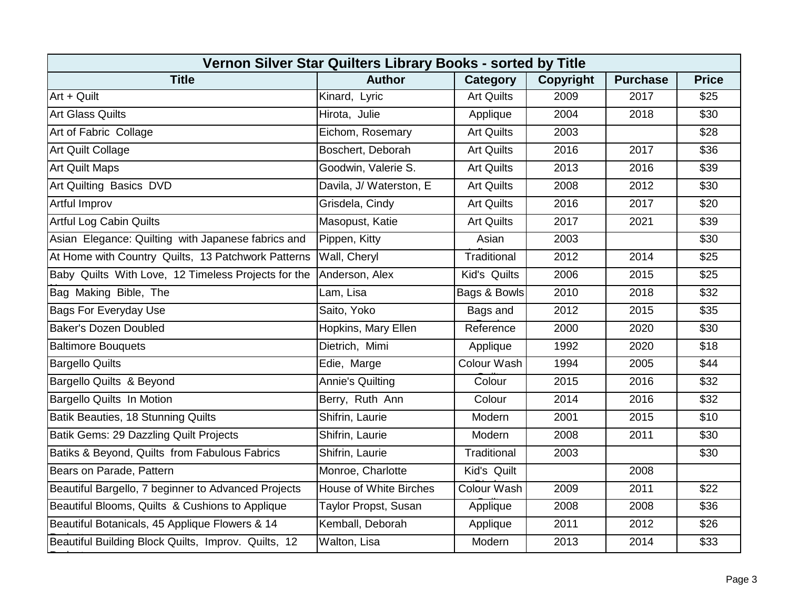| Vernon Silver Star Quilters Library Books - sorted by Title |                               |                   |                  |                 |              |  |  |  |
|-------------------------------------------------------------|-------------------------------|-------------------|------------------|-----------------|--------------|--|--|--|
| <b>Title</b>                                                | <b>Author</b>                 | Category          | <b>Copyright</b> | <b>Purchase</b> | <b>Price</b> |  |  |  |
| Art + Quilt                                                 | Kinard, Lyric                 | <b>Art Quilts</b> | 2009             | 2017            | \$25         |  |  |  |
| <b>Art Glass Quilts</b>                                     | Hirota, Julie                 | Applique          | 2004             | 2018            | \$30         |  |  |  |
| Art of Fabric Collage                                       | Eichom, Rosemary              | <b>Art Quilts</b> | 2003             |                 | \$28         |  |  |  |
| <b>Art Quilt Collage</b>                                    | Boschert, Deborah             | <b>Art Quilts</b> | 2016             | 2017            | \$36         |  |  |  |
| <b>Art Quilt Maps</b>                                       | Goodwin, Valerie S.           | <b>Art Quilts</b> | 2013             | 2016            | \$39         |  |  |  |
| Art Quilting Basics DVD                                     | Davila, J/ Waterston, E       | <b>Art Quilts</b> | 2008             | 2012            | \$30         |  |  |  |
| Artful Improv                                               | Grisdela, Cindy               | <b>Art Quilts</b> | 2016             | 2017            | \$20         |  |  |  |
| Artful Log Cabin Quilts                                     | Masopust, Katie               | <b>Art Quilts</b> | 2017             | 2021            | \$39         |  |  |  |
| Asian Elegance: Quilting with Japanese fabrics and          | Pippen, Kitty                 | Asian             | 2003             |                 | \$30         |  |  |  |
| At Home with Country Quilts, 13 Patchwork Patterns          | Wall, Cheryl                  | Traditional       | 2012             | 2014            | \$25         |  |  |  |
| Baby Quilts With Love, 12 Timeless Projects for the         | Anderson, Alex                | Kid's Quilts      | 2006             | 2015            | \$25         |  |  |  |
| Bag Making Bible, The                                       | Lam, Lisa                     | Bags & Bowls      | 2010             | 2018            | \$32         |  |  |  |
| <b>Bags For Everyday Use</b>                                | Saito, Yoko                   | Bags and          | 2012             | 2015            | \$35         |  |  |  |
| <b>Baker's Dozen Doubled</b>                                | Hopkins, Mary Ellen           | Reference         | 2000             | 2020            | \$30         |  |  |  |
| <b>Baltimore Bouquets</b>                                   | Dietrich, Mimi                | Applique          | 1992             | 2020            | \$18         |  |  |  |
| <b>Bargello Quilts</b>                                      | Edie, Marge                   | Colour Wash       | 1994             | 2005            | \$44         |  |  |  |
| Bargello Quilts & Beyond                                    | <b>Annie's Quilting</b>       | Colour            | 2015             | 2016            | \$32         |  |  |  |
| Bargello Quilts In Motion                                   | Berry, Ruth Ann               | Colour            | 2014             | 2016            | \$32         |  |  |  |
| Batik Beauties, 18 Stunning Quilts                          | Shifrin, Laurie               | Modern            | 2001             | 2015            | \$10         |  |  |  |
| Batik Gems: 29 Dazzling Quilt Projects                      | Shifrin, Laurie               | Modern            | 2008             | 2011            | \$30         |  |  |  |
| Batiks & Beyond, Quilts from Fabulous Fabrics               | Shifrin, Laurie               | Traditional       | 2003             |                 | \$30         |  |  |  |
| Bears on Parade, Pattern                                    | Monroe, Charlotte             | Kid's Quilt       |                  | 2008            |              |  |  |  |
| Beautiful Bargello, 7 beginner to Advanced Projects         | <b>House of White Birches</b> | Colour Wash       | 2009             | 2011            | \$22         |  |  |  |
| Beautiful Blooms, Quilts & Cushions to Applique             | Taylor Propst, Susan          | Applique          | 2008             | 2008            | \$36         |  |  |  |
| Beautiful Botanicals, 45 Applique Flowers & 14              | Kemball, Deborah              | Applique          | 2011             | 2012            | \$26         |  |  |  |
| Beautiful Building Block Quilts, Improv. Quilts, 12         | Walton, Lisa                  | Modern            | 2013             | 2014            | \$33         |  |  |  |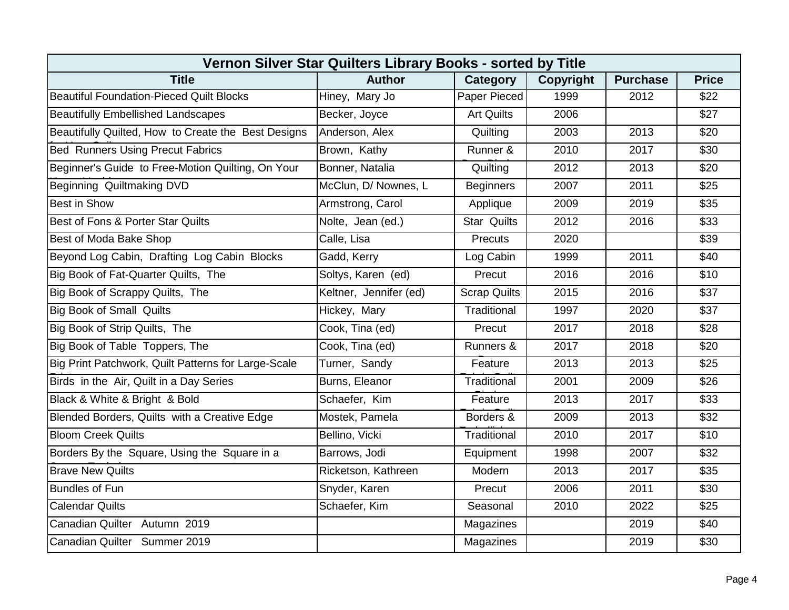| Vernon Silver Star Quilters Library Books - sorted by Title |                        |                     |           |                 |              |  |  |  |
|-------------------------------------------------------------|------------------------|---------------------|-----------|-----------------|--------------|--|--|--|
| <b>Title</b>                                                | <b>Author</b>          | Category            | Copyright | <b>Purchase</b> | <b>Price</b> |  |  |  |
| <b>Beautiful Foundation-Pieced Quilt Blocks</b>             | Hiney, Mary Jo         | Paper Pieced        | 1999      | 2012            | \$22         |  |  |  |
| <b>Beautifully Embellished Landscapes</b>                   | Becker, Joyce          | <b>Art Quilts</b>   | 2006      |                 | \$27         |  |  |  |
| Beautifully Quilted, How to Create the Best Designs         | Anderson, Alex         | Quilting            | 2003      | 2013            | \$20         |  |  |  |
| <b>Bed Runners Using Precut Fabrics</b>                     | Brown, Kathy           | Runner &            | 2010      | 2017            | \$30         |  |  |  |
| Beginner's Guide to Free-Motion Quilting, On Your           | Bonner, Natalia        | Quilting            | 2012      | 2013            | \$20         |  |  |  |
| Beginning Quiltmaking DVD                                   | McClun, D/ Nownes, L   | <b>Beginners</b>    | 2007      | 2011            | \$25         |  |  |  |
| <b>Best in Show</b>                                         | Armstrong, Carol       | Applique            | 2009      | 2019            | \$35         |  |  |  |
| Best of Fons & Porter Star Quilts                           | Nolte, Jean (ed.)      | <b>Star Quilts</b>  | 2012      | 2016            | \$33         |  |  |  |
| Best of Moda Bake Shop                                      | Calle, Lisa            | Precuts             | 2020      |                 | \$39         |  |  |  |
| Beyond Log Cabin, Drafting Log Cabin Blocks                 | Gadd, Kerry            | Log Cabin           | 1999      | 2011            | \$40         |  |  |  |
| Big Book of Fat-Quarter Quilts, The                         | Soltys, Karen (ed)     | Precut              | 2016      | 2016            | \$10         |  |  |  |
| Big Book of Scrappy Quilts, The                             | Keltner, Jennifer (ed) | <b>Scrap Quilts</b> | 2015      | 2016            | \$37         |  |  |  |
| <b>Big Book of Small Quilts</b>                             | Hickey, Mary           | Traditional         | 1997      | 2020            | \$37         |  |  |  |
| Big Book of Strip Quilts, The                               | Cook, Tina (ed)        | Precut              | 2017      | 2018            | \$28         |  |  |  |
| Big Book of Table Toppers, The                              | Cook, Tina (ed)        | Runners &           | 2017      | 2018            | \$20         |  |  |  |
| Big Print Patchwork, Quilt Patterns for Large-Scale         | Turner, Sandy          | Feature             | 2013      | 2013            | \$25         |  |  |  |
| Birds in the Air, Quilt in a Day Series                     | Burns, Eleanor         | Traditional         | 2001      | 2009            | \$26         |  |  |  |
| Black & White & Bright & Bold                               | Schaefer, Kim          | Feature             | 2013      | 2017            | \$33         |  |  |  |
| Blended Borders, Quilts with a Creative Edge                | Mostek, Pamela         | Borders &           | 2009      | 2013            | \$32         |  |  |  |
| <b>Bloom Creek Quilts</b>                                   | Bellino, Vicki         | Traditional         | 2010      | 2017            | \$10         |  |  |  |
| Borders By the Square, Using the Square in a                | Barrows, Jodi          | Equipment           | 1998      | 2007            | \$32         |  |  |  |
| <b>Brave New Quilts</b>                                     | Ricketson, Kathreen    | Modern              | 2013      | 2017            | \$35         |  |  |  |
| <b>Bundles of Fun</b>                                       | Snyder, Karen          | Precut              | 2006      | 2011            | \$30         |  |  |  |
| <b>Calendar Quilts</b>                                      | Schaefer, Kim          | Seasonal            | 2010      | 2022            | \$25         |  |  |  |
| Canadian Quilter Autumn 2019                                |                        | Magazines           |           | 2019            | \$40         |  |  |  |
| Canadian Quilter Summer 2019                                |                        | Magazines           |           | 2019            | \$30         |  |  |  |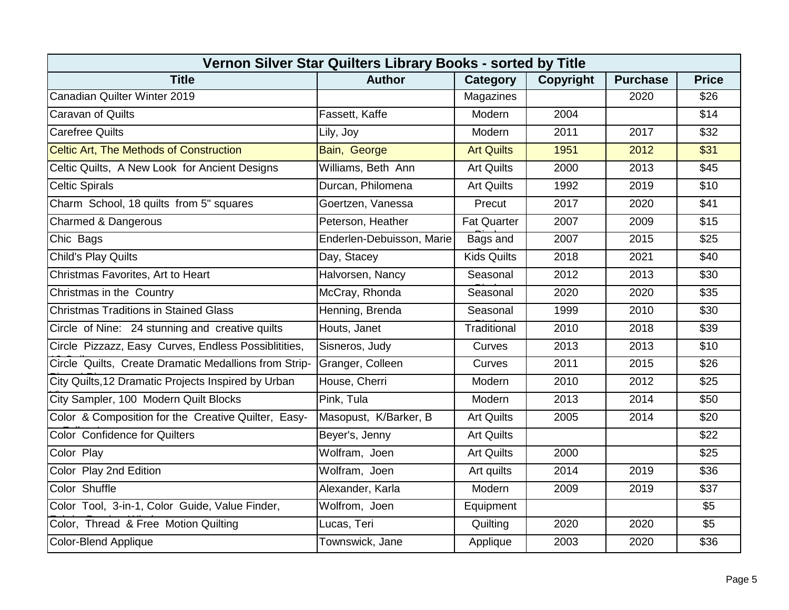| Vernon Silver Star Quilters Library Books - sorted by Title |                                                                                  |                    |      |      |                  |  |  |  |
|-------------------------------------------------------------|----------------------------------------------------------------------------------|--------------------|------|------|------------------|--|--|--|
| <b>Title</b>                                                | <b>Author</b><br><b>Category</b><br>Copyright<br><b>Purchase</b><br><b>Price</b> |                    |      |      |                  |  |  |  |
| Canadian Quilter Winter 2019                                |                                                                                  | Magazines          |      | 2020 | \$26             |  |  |  |
| <b>Caravan of Quilts</b>                                    | Fassett, Kaffe                                                                   | Modern             | 2004 |      | \$14             |  |  |  |
| <b>Carefree Quilts</b>                                      | Lily, Joy                                                                        | Modern             | 2011 | 2017 | \$32             |  |  |  |
| <b>Celtic Art, The Methods of Construction</b>              | Bain, George                                                                     | <b>Art Quilts</b>  | 1951 | 2012 | $\overline{$31}$ |  |  |  |
| Celtic Quilts, A New Look for Ancient Designs               | Williams, Beth Ann                                                               | <b>Art Quilts</b>  | 2000 | 2013 | \$45             |  |  |  |
| <b>Celtic Spirals</b>                                       | Durcan, Philomena                                                                | <b>Art Quilts</b>  | 1992 | 2019 | \$10             |  |  |  |
| Charm School, 18 quilts from 5" squares                     | Goertzen, Vanessa                                                                | Precut             | 2017 | 2020 | \$41             |  |  |  |
| Charmed & Dangerous                                         | Peterson, Heather                                                                | <b>Fat Quarter</b> | 2007 | 2009 | \$15             |  |  |  |
| Chic Bags                                                   | Enderlen-Debuisson, Marie                                                        | Bags and           | 2007 | 2015 | \$25             |  |  |  |
| Child's Play Quilts                                         | Day, Stacey                                                                      | <b>Kids Quilts</b> | 2018 | 2021 | \$40             |  |  |  |
| Christmas Favorites, Art to Heart                           | Halvorsen, Nancy                                                                 | Seasonal           | 2012 | 2013 | \$30             |  |  |  |
| Christmas in the Country                                    | McCray, Rhonda                                                                   | Seasonal           | 2020 | 2020 | \$35             |  |  |  |
| <b>Christmas Traditions in Stained Glass</b>                | Henning, Brenda                                                                  | Seasonal           | 1999 | 2010 | \$30             |  |  |  |
| Circle of Nine: 24 stunning and creative quilts             | Houts, Janet                                                                     | Traditional        | 2010 | 2018 | \$39             |  |  |  |
| Circle Pizzazz, Easy Curves, Endless Possiblitities,        | Sisneros, Judy                                                                   | Curves             | 2013 | 2013 | \$10             |  |  |  |
| Circle Quilts, Create Dramatic Medallions from Strip-       | Granger, Colleen                                                                 | Curves             | 2011 | 2015 | \$26             |  |  |  |
| City Quilts, 12 Dramatic Projects Inspired by Urban         | House, Cherri                                                                    | Modern             | 2010 | 2012 | \$25             |  |  |  |
| City Sampler, 100 Modern Quilt Blocks                       | Pink, Tula                                                                       | Modern             | 2013 | 2014 | \$50             |  |  |  |
| Color & Composition for the Creative Quilter, Easy-         | Masopust, K/Barker, B                                                            | <b>Art Quilts</b>  | 2005 | 2014 | \$20             |  |  |  |
| Color Confidence for Quilters                               | Beyer's, Jenny                                                                   | <b>Art Quilts</b>  |      |      | \$22             |  |  |  |
| Color Play                                                  | Wolfram, Joen                                                                    | <b>Art Quilts</b>  | 2000 |      | \$25             |  |  |  |
| Color Play 2nd Edition                                      | Wolfram, Joen                                                                    | Art quilts         | 2014 | 2019 | \$36             |  |  |  |
| Color Shuffle                                               | Alexander, Karla                                                                 | Modern             | 2009 | 2019 | \$37             |  |  |  |
| Color Tool, 3-in-1, Color Guide, Value Finder,              | Wolfrom, Joen                                                                    | Equipment          |      |      | \$5              |  |  |  |
| Color, Thread & Free Motion Quilting                        | Lucas, Teri                                                                      | Quilting           | 2020 | 2020 | $\overline{\$5}$ |  |  |  |
| <b>Color-Blend Applique</b>                                 | Townswick, Jane                                                                  | Applique           | 2003 | 2020 | \$36             |  |  |  |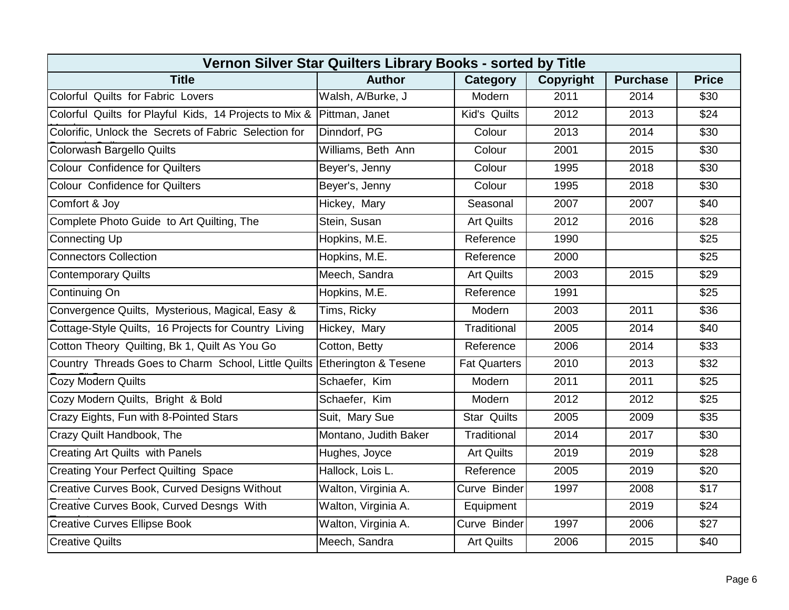| Vernon Silver Star Quilters Library Books - sorted by Title              |                       |                     |                  |                 |              |  |  |  |
|--------------------------------------------------------------------------|-----------------------|---------------------|------------------|-----------------|--------------|--|--|--|
| <b>Title</b>                                                             | <b>Author</b>         | Category            | <b>Copyright</b> | <b>Purchase</b> | <b>Price</b> |  |  |  |
| Colorful Quilts for Fabric Lovers                                        | Walsh, A/Burke, J     | Modern              | 2011             | 2014            | \$30         |  |  |  |
| Colorful Quilts for Playful Kids, 14 Projects to Mix & Pittman, Janet    |                       | Kid's Quilts        | 2012             | 2013            | \$24         |  |  |  |
| Colorific, Unlock the Secrets of Fabric Selection for                    | Dinndorf, PG          | Colour              | 2013             | 2014            | \$30         |  |  |  |
| Colorwash Bargello Quilts                                                | Williams, Beth Ann    | Colour              | 2001             | 2015            | \$30         |  |  |  |
| Colour Confidence for Quilters                                           | Beyer's, Jenny        | Colour              | 1995             | 2018            | \$30         |  |  |  |
| <b>Colour Confidence for Quilters</b>                                    | Beyer's, Jenny        | Colour              | 1995             | 2018            | \$30         |  |  |  |
| Comfort & Joy                                                            | Hickey, Mary          | Seasonal            | 2007             | 2007            | \$40         |  |  |  |
| Complete Photo Guide to Art Quilting, The                                | Stein, Susan          | <b>Art Quilts</b>   | 2012             | 2016            | \$28         |  |  |  |
| Connecting Up                                                            | Hopkins, M.E.         | Reference           | 1990             |                 | \$25         |  |  |  |
| <b>Connectors Collection</b>                                             | Hopkins, M.E.         | Reference           | 2000             |                 | \$25         |  |  |  |
| <b>Contemporary Quilts</b>                                               | Meech, Sandra         | <b>Art Quilts</b>   | 2003             | 2015            | \$29         |  |  |  |
| Continuing On                                                            | Hopkins, M.E.         | Reference           | 1991             |                 | \$25         |  |  |  |
| Convergence Quilts, Mysterious, Magical, Easy &                          | Tims, Ricky           | Modern              | 2003             | 2011            | \$36         |  |  |  |
| Cottage-Style Quilts, 16 Projects for Country Living                     | Hickey, Mary          | Traditional         | 2005             | 2014            | \$40         |  |  |  |
| Cotton Theory Quilting, Bk 1, Quilt As You Go                            | Cotton, Betty         | Reference           | 2006             | 2014            | \$33         |  |  |  |
| Country Threads Goes to Charm School, Little Quilts Etherington & Tesene |                       | <b>Fat Quarters</b> | 2010             | 2013            | \$32         |  |  |  |
| <b>Cozy Modern Quilts</b>                                                | Schaefer, Kim         | Modern              | 2011             | 2011            | \$25         |  |  |  |
| Cozy Modern Quilts, Bright & Bold                                        | Schaefer, Kim         | Modern              | 2012             | 2012            | \$25         |  |  |  |
| Crazy Eights, Fun with 8-Pointed Stars                                   | Suit, Mary Sue        | <b>Star Quilts</b>  | 2005             | 2009            | \$35         |  |  |  |
| Crazy Quilt Handbook, The                                                | Montano, Judith Baker | Traditional         | 2014             | 2017            | \$30         |  |  |  |
| <b>Creating Art Quilts with Panels</b>                                   | Hughes, Joyce         | <b>Art Quilts</b>   | 2019             | 2019            | \$28         |  |  |  |
| <b>Creating Your Perfect Quilting Space</b>                              | Hallock, Lois L.      | Reference           | 2005             | 2019            | \$20         |  |  |  |
| <b>Creative Curves Book, Curved Designs Without</b>                      | Walton, Virginia A.   | Curve Binder        | 1997             | 2008            | \$17         |  |  |  |
| Creative Curves Book, Curved Desngs With                                 | Walton, Virginia A.   | Equipment           |                  | 2019            | \$24         |  |  |  |
| <b>Creative Curves Ellipse Book</b>                                      | Walton, Virginia A.   | Curve Binder        | 1997             | 2006            | \$27         |  |  |  |
| <b>Creative Quilts</b>                                                   | Meech, Sandra         | <b>Art Quilts</b>   | 2006             | 2015            | \$40         |  |  |  |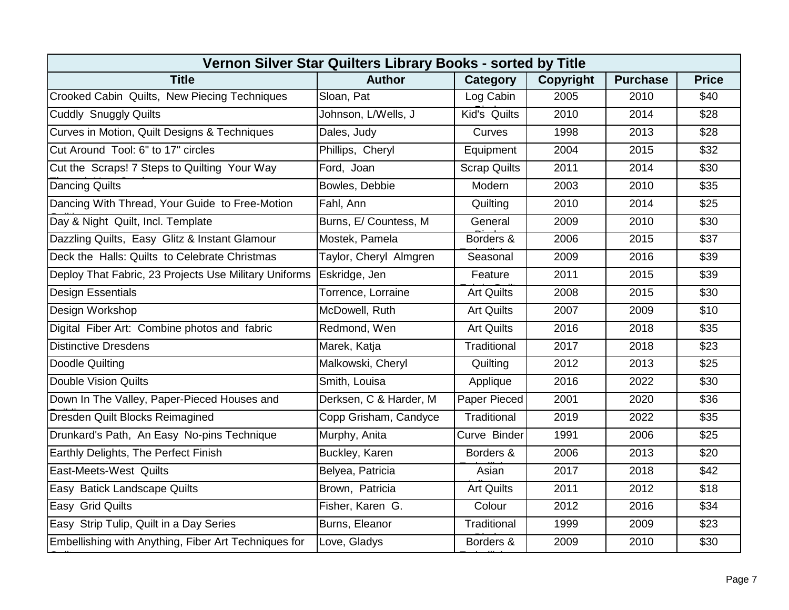| Vernon Silver Star Quilters Library Books - sorted by Title |                        |                     |                  |                 |              |  |  |  |
|-------------------------------------------------------------|------------------------|---------------------|------------------|-----------------|--------------|--|--|--|
| <b>Title</b>                                                | <b>Author</b>          | Category            | <b>Copyright</b> | <b>Purchase</b> | <b>Price</b> |  |  |  |
| Crooked Cabin Quilts, New Piecing Techniques                | Sloan, Pat             | Log Cabin           | 2005             | 2010            | \$40         |  |  |  |
| <b>Cuddly Snuggly Quilts</b>                                | Johnson, L/Wells, J    | Kid's Quilts        | 2010             | 2014            | \$28         |  |  |  |
| Curves in Motion, Quilt Designs & Techniques                | Dales, Judy            | Curves              | 1998             | 2013            | \$28         |  |  |  |
| Cut Around Tool: 6" to 17" circles                          | Phillips, Cheryl       | Equipment           | 2004             | 2015            | \$32         |  |  |  |
| Cut the Scraps! 7 Steps to Quilting Your Way                | Ford, Joan             | <b>Scrap Quilts</b> | 2011             | 2014            | \$30         |  |  |  |
| <b>Dancing Quilts</b>                                       | Bowles, Debbie         | Modern              | 2003             | 2010            | \$35         |  |  |  |
| Dancing With Thread, Your Guide to Free-Motion              | Fahl, Ann              | Quilting            | 2010             | 2014            | \$25         |  |  |  |
| Day & Night Quilt, Incl. Template                           | Burns, E/ Countess, M  | General             | 2009             | 2010            | \$30         |  |  |  |
| Dazzling Quilts, Easy Glitz & Instant Glamour               | Mostek, Pamela         | Borders &           | 2006             | 2015            | \$37         |  |  |  |
| Deck the Halls: Quilts to Celebrate Christmas               | Taylor, Cheryl Almgren | Seasonal            | 2009             | 2016            | \$39         |  |  |  |
| Deploy That Fabric, 23 Projects Use Military Uniforms       | Eskridge, Jen          | Feature             | 2011             | 2015            | \$39         |  |  |  |
| <b>Design Essentials</b>                                    | Torrence, Lorraine     | <b>Art Quilts</b>   | 2008             | 2015            | \$30         |  |  |  |
| Design Workshop                                             | McDowell, Ruth         | <b>Art Quilts</b>   | 2007             | 2009            | \$10         |  |  |  |
| Digital Fiber Art: Combine photos and fabric                | Redmond, Wen           | <b>Art Quilts</b>   | 2016             | 2018            | \$35         |  |  |  |
| <b>Distinctive Dresdens</b>                                 | Marek, Katja           | Traditional         | 2017             | 2018            | \$23         |  |  |  |
| Doodle Quilting                                             | Malkowski, Cheryl      | Quilting            | 2012             | 2013            | \$25         |  |  |  |
| Double Vision Quilts                                        | Smith, Louisa          | Applique            | 2016             | 2022            | \$30         |  |  |  |
| Down In The Valley, Paper-Pieced Houses and                 | Derksen, C & Harder, M | Paper Pieced        | 2001             | 2020            | \$36         |  |  |  |
| Dresden Quilt Blocks Reimagined                             | Copp Grisham, Candyce  | Traditional         | 2019             | 2022            | \$35         |  |  |  |
| Drunkard's Path, An Easy No-pins Technique                  | Murphy, Anita          | Curve Binder        | 1991             | 2006            | \$25         |  |  |  |
| Earthly Delights, The Perfect Finish                        | Buckley, Karen         | Borders &           | 2006             | 2013            | \$20         |  |  |  |
| <b>East-Meets-West Quilts</b>                               | Belyea, Patricia       | Asian               | 2017             | 2018            | \$42         |  |  |  |
| Easy Batick Landscape Quilts                                | Brown, Patricia        | <b>Art Quilts</b>   | 2011             | 2012            | \$18         |  |  |  |
| Easy Grid Quilts                                            | Fisher, Karen G.       | Colour              | 2012             | 2016            | \$34         |  |  |  |
| Easy Strip Tulip, Quilt in a Day Series                     | Burns, Eleanor         | Traditional         | 1999             | 2009            | \$23         |  |  |  |
| Embellishing with Anything, Fiber Art Techniques for        | Love, Gladys           | Borders &           | 2009             | 2010            | \$30         |  |  |  |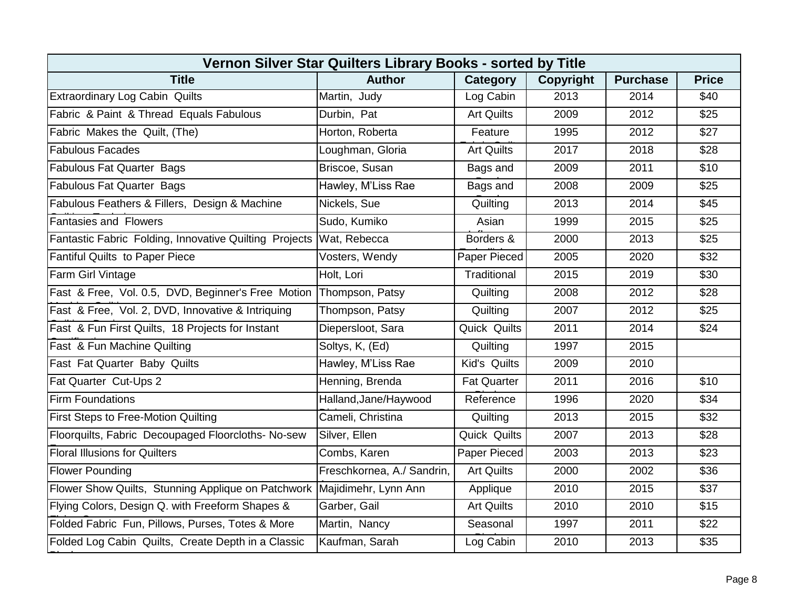| Vernon Silver Star Quilters Library Books - sorted by Title |                            |                     |                  |                 |              |  |  |  |
|-------------------------------------------------------------|----------------------------|---------------------|------------------|-----------------|--------------|--|--|--|
| <b>Title</b>                                                | <b>Author</b>              | Category            | <b>Copyright</b> | <b>Purchase</b> | <b>Price</b> |  |  |  |
| <b>Extraordinary Log Cabin Quilts</b>                       | Martin, Judy               | Log Cabin           | 2013             | 2014            | \$40         |  |  |  |
| Fabric & Paint & Thread Equals Fabulous                     | Durbin, Pat                | <b>Art Quilts</b>   | 2009             | 2012            | \$25         |  |  |  |
| Fabric Makes the Quilt, (The)                               | Horton, Roberta            | Feature             | 1995             | 2012            | \$27         |  |  |  |
| <b>Fabulous Facades</b>                                     | Loughman, Gloria           | <b>Art Quilts</b>   | 2017             | 2018            | \$28         |  |  |  |
| <b>Fabulous Fat Quarter Bags</b>                            | Briscoe, Susan             | Bags and            | 2009             | 2011            | \$10         |  |  |  |
| <b>Fabulous Fat Quarter Bags</b>                            | Hawley, M'Liss Rae         | Bags and            | 2008             | 2009            | \$25         |  |  |  |
| Fabulous Feathers & Fillers, Design & Machine               | Nickels, Sue               | Quilting            | 2013             | 2014            | \$45         |  |  |  |
| <b>Fantasies and Flowers</b>                                | Sudo, Kumiko               | Asian               | 1999             | 2015            | \$25         |  |  |  |
| Fantastic Fabric Folding, Innovative Quilting Projects      | Wat, Rebecca               | Borders &           | 2000             | 2013            | \$25         |  |  |  |
| <b>Fantiful Quilts to Paper Piece</b>                       | Vosters, Wendy             | Paper Pieced        | 2005             | 2020            | \$32         |  |  |  |
| Farm Girl Vintage                                           | Holt, Lori                 | Traditional         | 2015             | 2019            | \$30         |  |  |  |
| Fast & Free, Vol. 0.5, DVD, Beginner's Free Motion          | Thompson, Patsy            | Quilting            | 2008             | 2012            | \$28         |  |  |  |
| Fast & Free, Vol. 2, DVD, Innovative & Intriquing           | Thompson, Patsy            | Quilting            | 2007             | 2012            | \$25         |  |  |  |
| Fast & Fun First Quilts, 18 Projects for Instant            | Diepersloot, Sara          | <b>Quick Quilts</b> | 2011             | 2014            | \$24         |  |  |  |
| Fast & Fun Machine Quilting                                 | Soltys, K, (Ed)            | Quilting            | 1997             | 2015            |              |  |  |  |
| Fast Fat Quarter Baby Quilts                                | Hawley, M'Liss Rae         | Kid's Quilts        | 2009             | 2010            |              |  |  |  |
| Fat Quarter Cut-Ups 2                                       | Henning, Brenda            | <b>Fat Quarter</b>  | 2011             | 2016            | \$10         |  |  |  |
| <b>Firm Foundations</b>                                     | Halland, Jane/Haywood      | Reference           | 1996             | 2020            | \$34         |  |  |  |
| First Steps to Free-Motion Quilting                         | Cameli, Christina          | Quilting            | 2013             | 2015            | \$32         |  |  |  |
| Floorquilts, Fabric Decoupaged Floorcloths- No-sew          | Silver, Ellen              | Quick Quilts        | 2007             | 2013            | \$28         |  |  |  |
| <b>Floral Illusions for Quilters</b>                        | Combs, Karen               | Paper Pieced        | 2003             | 2013            | \$23         |  |  |  |
| <b>Flower Pounding</b>                                      | Freschkornea, A./ Sandrin, | <b>Art Quilts</b>   | 2000             | 2002            | \$36         |  |  |  |
| Flower Show Quilts, Stunning Applique on Patchwork          | Majidimehr, Lynn Ann       | Applique            | 2010             | 2015            | \$37         |  |  |  |
| Flying Colors, Design Q. with Freeform Shapes &             | Garber, Gail               | <b>Art Quilts</b>   | 2010             | 2010            | \$15         |  |  |  |
| Folded Fabric Fun, Pillows, Purses, Totes & More            | Martin, Nancy              | Seasonal            | 1997             | 2011            | \$22         |  |  |  |
| Folded Log Cabin Quilts, Create Depth in a Classic          | Kaufman, Sarah             | Log Cabin           | 2010             | 2013            | \$35         |  |  |  |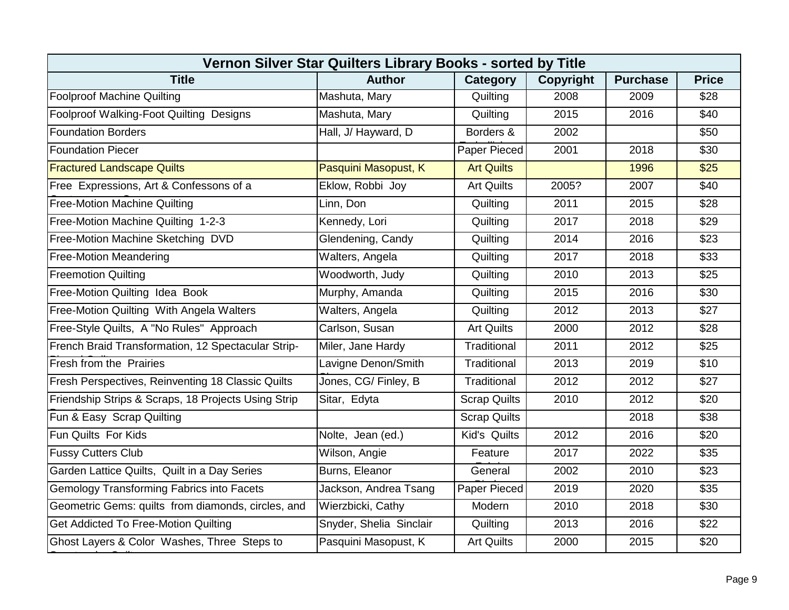| Vernon Silver Star Quilters Library Books - sorted by Title |                         |                     |                  |                 |              |  |  |  |
|-------------------------------------------------------------|-------------------------|---------------------|------------------|-----------------|--------------|--|--|--|
| <b>Title</b>                                                | <b>Author</b>           | Category            | <b>Copyright</b> | <b>Purchase</b> | <b>Price</b> |  |  |  |
| <b>Foolproof Machine Quilting</b>                           | Mashuta, Mary           | Quilting            | 2008             | 2009            | \$28         |  |  |  |
| Foolproof Walking-Foot Quilting Designs                     | Mashuta, Mary           | Quilting            | 2015             | 2016            | \$40         |  |  |  |
| <b>Foundation Borders</b>                                   | Hall, J/ Hayward, D     | Borders &           | 2002             |                 | \$50         |  |  |  |
| <b>Foundation Piecer</b>                                    |                         | Paper Pieced        | 2001             | 2018            | \$30         |  |  |  |
| <b>Fractured Landscape Quilts</b>                           | Pasquini Masopust, K    | <b>Art Quilts</b>   |                  | 1996            | \$25         |  |  |  |
| Free Expressions, Art & Confessons of a                     | Eklow, Robbi Joy        | <b>Art Quilts</b>   | 2005?            | 2007            | \$40         |  |  |  |
| <b>Free-Motion Machine Quilting</b>                         | Linn, Don               | Quilting            | 2011             | 2015            | \$28         |  |  |  |
| Free-Motion Machine Quilting 1-2-3                          | Kennedy, Lori           | Quilting            | 2017             | 2018            | \$29         |  |  |  |
| Free-Motion Machine Sketching DVD                           | Glendening, Candy       | Quilting            | 2014             | 2016            | \$23         |  |  |  |
| <b>Free-Motion Meandering</b>                               | Walters, Angela         | Quilting            | 2017             | 2018            | \$33         |  |  |  |
| <b>Freemotion Quilting</b>                                  | Woodworth, Judy         | Quilting            | 2010             | 2013            | \$25         |  |  |  |
| Free-Motion Quilting Idea Book                              | Murphy, Amanda          | Quilting            | 2015             | 2016            | \$30         |  |  |  |
| Free-Motion Quilting With Angela Walters                    | Walters, Angela         | Quilting            | 2012             | 2013            | \$27         |  |  |  |
| Free-Style Quilts, A "No Rules" Approach                    | Carlson, Susan          | <b>Art Quilts</b>   | 2000             | 2012            | \$28         |  |  |  |
| French Braid Transformation, 12 Spectacular Strip-          | Miler, Jane Hardy       | Traditional         | 2011             | 2012            | \$25         |  |  |  |
| Fresh from the Prairies                                     | Lavigne Denon/Smith     | Traditional         | 2013             | 2019            | \$10         |  |  |  |
| Fresh Perspectives, Reinventing 18 Classic Quilts           | Jones, CG/ Finley, B    | Traditional         | 2012             | 2012            | \$27         |  |  |  |
| Friendship Strips & Scraps, 18 Projects Using Strip         | Sitar, Edyta            | <b>Scrap Quilts</b> | 2010             | 2012            | \$20         |  |  |  |
| Fun & Easy Scrap Quilting                                   |                         | <b>Scrap Quilts</b> |                  | 2018            | \$38         |  |  |  |
| Fun Quilts For Kids                                         | Nolte, Jean (ed.)       | Kid's Quilts        | 2012             | 2016            | \$20         |  |  |  |
| <b>Fussy Cutters Club</b>                                   | Wilson, Angie           | Feature             | 2017             | 2022            | \$35         |  |  |  |
| Garden Lattice Quilts, Quilt in a Day Series                | Burns, Eleanor          | General             | 2002             | 2010            | \$23         |  |  |  |
| <b>Gemology Transforming Fabrics into Facets</b>            | Jackson, Andrea Tsang   | Paper Pieced        | 2019             | 2020            | \$35         |  |  |  |
| Geometric Gems: quilts from diamonds, circles, and          | Wierzbicki, Cathy       | Modern              | 2010             | 2018            | \$30         |  |  |  |
| <b>Get Addicted To Free-Motion Quilting</b>                 | Snyder, Shelia Sinclair | Quilting            | 2013             | 2016            | \$22         |  |  |  |
| Ghost Layers & Color Washes, Three Steps to                 | Pasquini Masopust, K    | <b>Art Quilts</b>   | 2000             | 2015            | \$20         |  |  |  |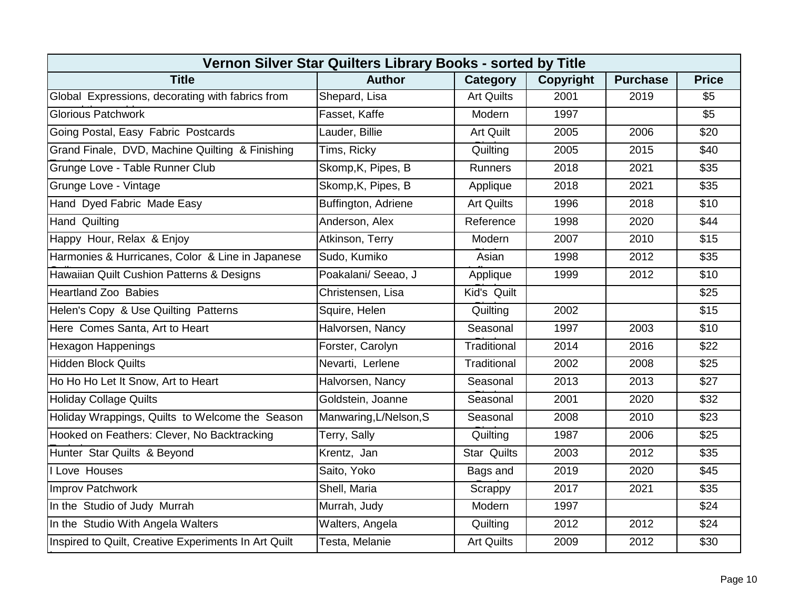| Vernon Silver Star Quilters Library Books - sorted by Title |                        |                    |                  |                 |              |  |  |  |
|-------------------------------------------------------------|------------------------|--------------------|------------------|-----------------|--------------|--|--|--|
| <b>Title</b>                                                | <b>Author</b>          | Category           | <b>Copyright</b> | <b>Purchase</b> | <b>Price</b> |  |  |  |
| Global Expressions, decorating with fabrics from            | Shepard, Lisa          | <b>Art Quilts</b>  | 2001             | 2019            | \$5          |  |  |  |
| <b>Glorious Patchwork</b>                                   | Fasset, Kaffe          | Modern             | 1997             |                 | \$5          |  |  |  |
| Going Postal, Easy Fabric Postcards                         | Lauder, Billie         | Art Quilt          | 2005             | 2006            | \$20         |  |  |  |
| Grand Finale, DVD, Machine Quilting & Finishing             | Tims, Ricky            | Quilting           | 2005             | 2015            | \$40         |  |  |  |
| Grunge Love - Table Runner Club                             | Skomp, K, Pipes, B     | Runners            | 2018             | 2021            | \$35         |  |  |  |
| Grunge Love - Vintage                                       | Skomp, K, Pipes, B     | Applique           | 2018             | 2021            | \$35         |  |  |  |
| Hand Dyed Fabric Made Easy                                  | Buffington, Adriene    | <b>Art Quilts</b>  | 1996             | 2018            | \$10         |  |  |  |
| <b>Hand Quilting</b>                                        | Anderson, Alex         | Reference          | 1998             | 2020            | \$44         |  |  |  |
| Happy Hour, Relax & Enjoy                                   | Atkinson, Terry        | Modern             | 2007             | 2010            | \$15         |  |  |  |
| Harmonies & Hurricanes, Color & Line in Japanese            | Sudo, Kumiko           | Asian              | 1998             | 2012            | \$35         |  |  |  |
| Hawaiian Quilt Cushion Patterns & Designs                   | Poakalani/ Seeao, J    | Applique           | 1999             | 2012            | \$10         |  |  |  |
| <b>Heartland Zoo Babies</b>                                 | Christensen, Lisa      | Kid's Quilt        |                  |                 | \$25         |  |  |  |
| Helen's Copy & Use Quilting Patterns                        | Squire, Helen          | Quilting           | 2002             |                 | \$15         |  |  |  |
| Here Comes Santa, Art to Heart                              | Halvorsen, Nancy       | Seasonal           | 1997             | 2003            | \$10         |  |  |  |
| <b>Hexagon Happenings</b>                                   | Forster, Carolyn       | Traditional        | 2014             | 2016            | \$22         |  |  |  |
| <b>Hidden Block Quilts</b>                                  | Nevarti, Lerlene       | Traditional        | 2002             | 2008            | \$25         |  |  |  |
| Ho Ho Ho Let It Snow, Art to Heart                          | Halvorsen, Nancy       | Seasonal           | 2013             | 2013            | \$27         |  |  |  |
| <b>Holiday Collage Quilts</b>                               | Goldstein, Joanne      | Seasonal           | 2001             | 2020            | \$32         |  |  |  |
| Holiday Wrappings, Quilts to Welcome the Season             | Manwaring, L/Nelson, S | Seasonal           | 2008             | 2010            | \$23         |  |  |  |
| Hooked on Feathers: Clever, No Backtracking                 | Terry, Sally           | Quilting           | 1987             | 2006            | \$25         |  |  |  |
| Hunter Star Quilts & Beyond                                 | Krentz, Jan            | <b>Star Quilts</b> | 2003             | 2012            | \$35         |  |  |  |
| I Love Houses                                               | Saito, Yoko            | Bags and           | 2019             | 2020            | \$45         |  |  |  |
| <b>Improv Patchwork</b>                                     | Shell, Maria           | Scrappy            | 2017             | 2021            | \$35         |  |  |  |
| In the Studio of Judy Murrah                                | Murrah, Judy           | Modern             | 1997             |                 | \$24         |  |  |  |
| In the Studio With Angela Walters                           | Walters, Angela        | Quilting           | 2012             | 2012            | \$24         |  |  |  |
| Inspired to Quilt, Creative Experiments In Art Quilt        | Testa, Melanie         | <b>Art Quilts</b>  | 2009             | 2012            | \$30         |  |  |  |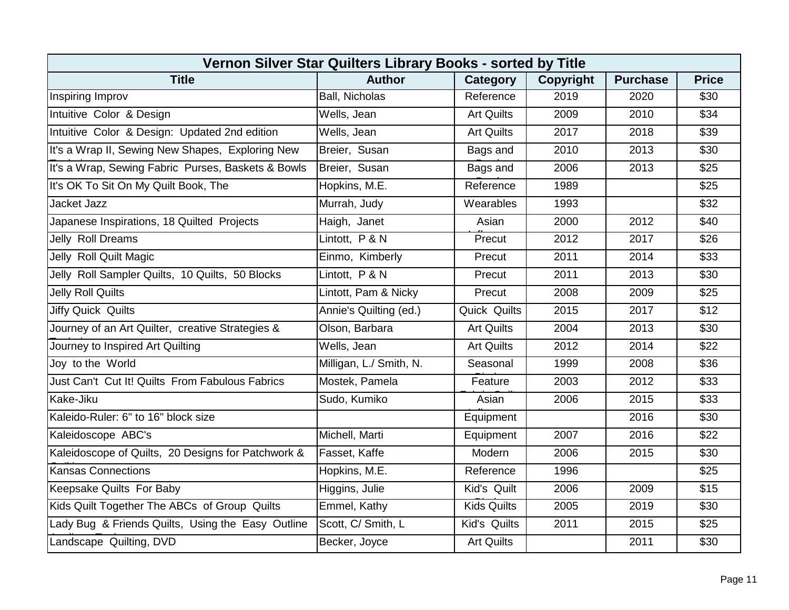| Vernon Silver Star Quilters Library Books - sorted by Title |                         |                    |           |                 |                  |  |  |  |
|-------------------------------------------------------------|-------------------------|--------------------|-----------|-----------------|------------------|--|--|--|
| <b>Title</b>                                                | <b>Author</b>           | Category           | Copyright | <b>Purchase</b> | <b>Price</b>     |  |  |  |
| Inspiring Improv                                            | <b>Ball, Nicholas</b>   | Reference          | 2019      | 2020            | \$30             |  |  |  |
| Intuitive Color & Design                                    | Wells, Jean             | <b>Art Quilts</b>  | 2009      | 2010            | \$34             |  |  |  |
| Intuitive Color & Design: Updated 2nd edition               | Wells, Jean             | <b>Art Quilts</b>  | 2017      | 2018            | \$39             |  |  |  |
| It's a Wrap II, Sewing New Shapes, Exploring New            | Breier, Susan           | Bags and           | 2010      | 2013            | \$30             |  |  |  |
| It's a Wrap, Sewing Fabric Purses, Baskets & Bowls          | Breier, Susan           | Bags and           | 2006      | 2013            | \$25             |  |  |  |
| It's OK To Sit On My Quilt Book, The                        | Hopkins, M.E.           | Reference          | 1989      |                 | \$25             |  |  |  |
| Jacket Jazz                                                 | Murrah, Judy            | Wearables          | 1993      |                 | $\overline{$32}$ |  |  |  |
| Japanese Inspirations, 18 Quilted Projects                  | Haigh, Janet            | Asian              | 2000      | 2012            | \$40             |  |  |  |
| Jelly Roll Dreams                                           | Lintott, P & N          | Precut             | 2012      | 2017            | \$26             |  |  |  |
| Jelly Roll Quilt Magic                                      | Einmo, Kimberly         | Precut             | 2011      | 2014            | \$33             |  |  |  |
| Jelly Roll Sampler Quilts, 10 Quilts, 50 Blocks             | Lintott, P & N          | Precut             | 2011      | 2013            | \$30             |  |  |  |
| <b>Jelly Roll Quilts</b>                                    | Lintott, Pam & Nicky    | Precut             | 2008      | 2009            | \$25             |  |  |  |
| <b>Jiffy Quick Quilts</b>                                   | Annie's Quilting (ed.)  | Quick Quilts       | 2015      | 2017            | \$12             |  |  |  |
| Journey of an Art Quilter, creative Strategies &            | Olson, Barbara          | <b>Art Quilts</b>  | 2004      | 2013            | \$30             |  |  |  |
| Journey to Inspired Art Quilting                            | Wells, Jean             | <b>Art Quilts</b>  | 2012      | 2014            | \$22             |  |  |  |
| Joy to the World                                            | Milligan, L./ Smith, N. | Seasonal           | 1999      | 2008            | \$36             |  |  |  |
| Just Can't Cut It! Quilts From Fabulous Fabrics             | Mostek, Pamela          | Feature            | 2003      | 2012            | \$33             |  |  |  |
| Kake-Jiku                                                   | Sudo, Kumiko            | Asian              | 2006      | 2015            | \$33             |  |  |  |
| Kaleido-Ruler: 6" to 16" block size                         |                         | Equipment          |           | 2016            | \$30             |  |  |  |
| Kaleidoscope ABC's                                          | Michell, Marti          | Equipment          | 2007      | 2016            | \$22             |  |  |  |
| Kaleidoscope of Quilts, 20 Designs for Patchwork &          | Fasset, Kaffe           | Modern             | 2006      | 2015            | \$30             |  |  |  |
| <b>Kansas Connections</b>                                   | Hopkins, M.E.           | Reference          | 1996      |                 | \$25             |  |  |  |
| Keepsake Quilts For Baby                                    | Higgins, Julie          | Kid's Quilt        | 2006      | 2009            | \$15             |  |  |  |
| Kids Quilt Together The ABCs of Group Quilts                | Emmel, Kathy            | <b>Kids Quilts</b> | 2005      | 2019            | \$30             |  |  |  |
| Lady Bug & Friends Quilts, Using the Easy Outline           | Scott, C/ Smith, L      | Kid's Quilts       | 2011      | 2015            | \$25             |  |  |  |
| Landscape Quilting, DVD                                     | Becker, Joyce           | <b>Art Quilts</b>  |           | 2011            | \$30             |  |  |  |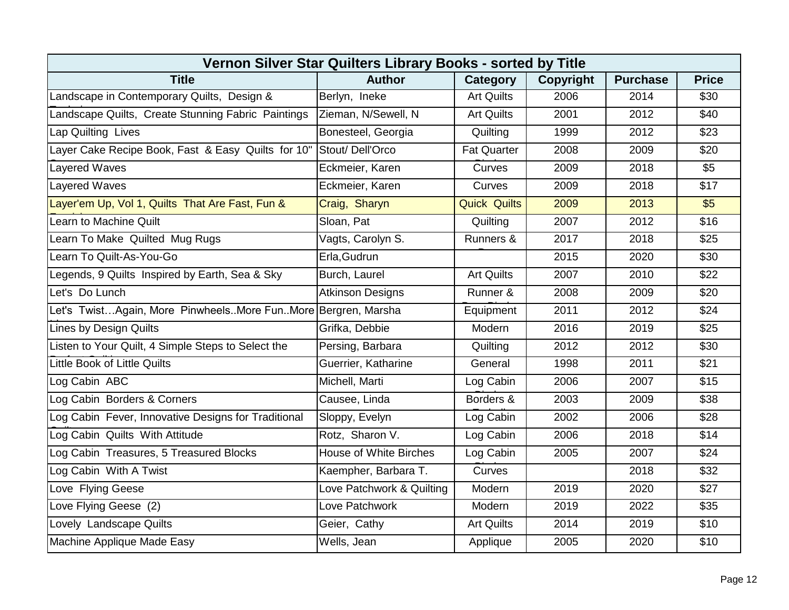| Vernon Silver Star Quilters Library Books - sorted by Title  |                               |                     |                  |                 |              |  |  |  |
|--------------------------------------------------------------|-------------------------------|---------------------|------------------|-----------------|--------------|--|--|--|
| <b>Title</b>                                                 | <b>Author</b>                 | Category            | <b>Copyright</b> | <b>Purchase</b> | <b>Price</b> |  |  |  |
| Landscape in Contemporary Quilts, Design &                   | Berlyn, Ineke                 | <b>Art Quilts</b>   | 2006             | 2014            | \$30         |  |  |  |
| Landscape Quilts, Create Stunning Fabric Paintings           | Zieman, N/Sewell, N           | <b>Art Quilts</b>   | 2001             | 2012            | \$40         |  |  |  |
| Lap Quilting Lives                                           | Bonesteel, Georgia            | Quilting            | 1999             | 2012            | \$23         |  |  |  |
| Layer Cake Recipe Book, Fast & Easy Quilts for 10"           | Stout/Dell'Orco               | <b>Fat Quarter</b>  | 2008             | 2009            | \$20         |  |  |  |
| Layered Waves                                                | Eckmeier, Karen               | Curves              | 2009             | 2018            | \$5          |  |  |  |
| Layered Waves                                                | Eckmeier, Karen               | Curves              | 2009             | 2018            | \$17         |  |  |  |
| Layer'em Up, Vol 1, Quilts That Are Fast, Fun &              | Craig, Sharyn                 | <b>Quick Quilts</b> | 2009             | 2013            | \$5          |  |  |  |
| Learn to Machine Quilt                                       | Sloan, Pat                    | Quilting            | 2007             | 2012            | \$16         |  |  |  |
| Learn To Make Quilted Mug Rugs                               | Vagts, Carolyn S.             | Runners &           | 2017             | 2018            | \$25         |  |  |  |
| Learn To Quilt-As-You-Go                                     | Erla, Gudrun                  |                     | 2015             | 2020            | \$30         |  |  |  |
| Legends, 9 Quilts Inspired by Earth, Sea & Sky               | Burch, Laurel                 | <b>Art Quilts</b>   | 2007             | 2010            | \$22         |  |  |  |
| Let's Do Lunch                                               | <b>Atkinson Designs</b>       | Runner &            | 2008             | 2009            | \$20         |  |  |  |
| Let's TwistAgain, More PinwheelsMore FunMore Bergren, Marsha |                               | Equipment           | 2011             | 2012            | \$24         |  |  |  |
| <b>Lines by Design Quilts</b>                                | Grifka, Debbie                | Modern              | 2016             | 2019            | \$25         |  |  |  |
| Listen to Your Quilt, 4 Simple Steps to Select the           | Persing, Barbara              | Quilting            | 2012             | 2012            | \$30         |  |  |  |
| <b>Little Book of Little Quilts</b>                          | Guerrier, Katharine           | General             | 1998             | 2011            | \$21         |  |  |  |
| Log Cabin ABC                                                | Michell, Marti                | Log Cabin           | 2006             | 2007            | \$15         |  |  |  |
| Log Cabin Borders & Corners                                  | Causee, Linda                 | Borders &           | 2003             | 2009            | \$38         |  |  |  |
| Log Cabin Fever, Innovative Designs for Traditional          | Sloppy, Evelyn                | Log Cabin           | 2002             | 2006            | \$28         |  |  |  |
| Log Cabin Quilts With Attitude                               | Rotz, Sharon V.               | Log Cabin           | 2006             | 2018            | \$14         |  |  |  |
| Log Cabin Treasures, 5 Treasured Blocks                      | <b>House of White Birches</b> | Log Cabin           | 2005             | 2007            | \$24         |  |  |  |
| Log Cabin With A Twist                                       | Kaempher, Barbara T.          | Curves              |                  | 2018            | \$32         |  |  |  |
| Love Flying Geese                                            | Love Patchwork & Quilting     | Modern              | 2019             | 2020            | \$27         |  |  |  |
| Love Flying Geese (2)                                        | Love Patchwork                | Modern              | 2019             | 2022            | \$35         |  |  |  |
| Lovely Landscape Quilts                                      | Geier, Cathy                  | <b>Art Quilts</b>   | 2014             | 2019            | \$10         |  |  |  |
| Machine Applique Made Easy                                   | Wells, Jean                   | Applique            | 2005             | 2020            | \$10         |  |  |  |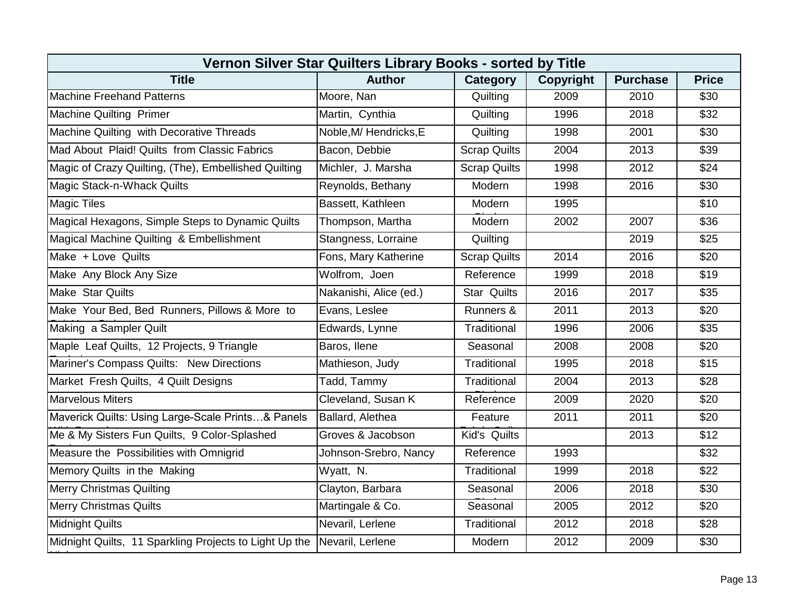| Vernon Silver Star Quilters Library Books - sorted by Title |                        |                     |                  |                 |              |  |  |  |
|-------------------------------------------------------------|------------------------|---------------------|------------------|-----------------|--------------|--|--|--|
| <b>Title</b>                                                | <b>Author</b>          | Category            | <b>Copyright</b> | <b>Purchase</b> | <b>Price</b> |  |  |  |
| <b>Machine Freehand Patterns</b>                            | Moore, Nan             | Quilting            | 2009             | 2010            | \$30         |  |  |  |
| Machine Quilting Primer                                     | Martin, Cynthia        | Quilting            | 1996             | 2018            | \$32         |  |  |  |
| Machine Quilting with Decorative Threads                    | Noble, M/ Hendricks, E | Quilting            | 1998             | 2001            | \$30         |  |  |  |
| Mad About Plaid! Quilts from Classic Fabrics                | Bacon, Debbie          | <b>Scrap Quilts</b> | 2004             | 2013            | \$39         |  |  |  |
| Magic of Crazy Quilting, (The), Embellished Quilting        | Michler, J. Marsha     | <b>Scrap Quilts</b> | 1998             | 2012            | \$24         |  |  |  |
| Magic Stack-n-Whack Quilts                                  | Reynolds, Bethany      | Modern              | 1998             | 2016            | \$30         |  |  |  |
| <b>Magic Tiles</b>                                          | Bassett, Kathleen      | Modern              | 1995             |                 | \$10         |  |  |  |
| Magical Hexagons, Simple Steps to Dynamic Quilts            | Thompson, Martha       | Modern              | 2002             | 2007            | \$36         |  |  |  |
| Magical Machine Quilting & Embellishment                    | Stangness, Lorraine    | Quilting            |                  | 2019            | \$25         |  |  |  |
| Make + Love Quilts                                          | Fons, Mary Katherine   | <b>Scrap Quilts</b> | 2014             | 2016            | \$20         |  |  |  |
| Make Any Block Any Size                                     | Wolfrom, Joen          | Reference           | 1999             | 2018            | \$19         |  |  |  |
| Make Star Quilts                                            | Nakanishi, Alice (ed.) | <b>Star Quilts</b>  | 2016             | 2017            | \$35         |  |  |  |
| Make Your Bed, Bed Runners, Pillows & More to               | Evans, Leslee          | Runners &           | 2011             | 2013            | \$20         |  |  |  |
| Making a Sampler Quilt                                      | Edwards, Lynne         | Traditional         | 1996             | 2006            | \$35         |  |  |  |
| Maple Leaf Quilts, 12 Projects, 9 Triangle                  | Baros, Ilene           | Seasonal            | 2008             | 2008            | \$20         |  |  |  |
| Mariner's Compass Quilts: New Directions                    | Mathieson, Judy        | Traditional         | 1995             | 2018            | \$15         |  |  |  |
| Market Fresh Quilts, 4 Quilt Designs                        | Tadd, Tammy            | Traditional         | 2004             | 2013            | \$28         |  |  |  |
| <b>Marvelous Miters</b>                                     | Cleveland, Susan K     | Reference           | 2009             | 2020            | \$20         |  |  |  |
| Maverick Quilts: Using Large-Scale Prints& Panels           | Ballard, Alethea       | Feature             | 2011             | 2011            | \$20         |  |  |  |
| Me & My Sisters Fun Quilts, 9 Color-Splashed                | Groves & Jacobson      | Kid's Quilts        |                  | 2013            | \$12         |  |  |  |
| Measure the Possibilities with Omnigrid                     | Johnson-Srebro, Nancy  | Reference           | 1993             |                 | \$32         |  |  |  |
| Memory Quilts in the Making                                 | Wyatt, N.              | Traditional         | 1999             | 2018            | \$22         |  |  |  |
| <b>Merry Christmas Quilting</b>                             | Clayton, Barbara       | Seasonal            | 2006             | 2018            | \$30         |  |  |  |
| <b>Merry Christmas Quilts</b>                               | Martingale & Co.       | Seasonal            | 2005             | 2012            | \$20         |  |  |  |
| <b>Midnight Quilts</b>                                      | Nevaril, Lerlene       | Traditional         | 2012             | 2018            | \$28         |  |  |  |
| Midnight Quilts, 11 Sparkling Projects to Light Up the      | Nevaril, Lerlene       | Modern              | 2012             | 2009            | \$30         |  |  |  |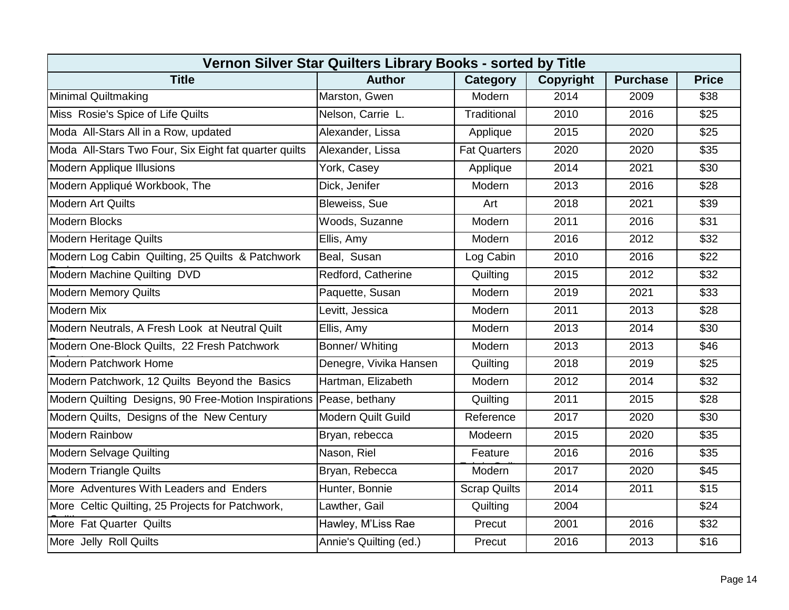| Vernon Silver Star Quilters Library Books - sorted by Title         |                           |                     |           |                 |                  |  |  |  |
|---------------------------------------------------------------------|---------------------------|---------------------|-----------|-----------------|------------------|--|--|--|
| <b>Title</b>                                                        | <b>Author</b>             | Category            | Copyright | <b>Purchase</b> | <b>Price</b>     |  |  |  |
| Minimal Quiltmaking                                                 | Marston, Gwen             | Modern              | 2014      | 2009            | \$38             |  |  |  |
| Miss Rosie's Spice of Life Quilts                                   | Nelson, Carrie L.         | Traditional         | 2010      | 2016            | \$25             |  |  |  |
| Moda All-Stars All in a Row, updated                                | Alexander, Lissa          | Applique            | 2015      | 2020            | \$25             |  |  |  |
| Moda All-Stars Two Four, Six Eight fat quarter quilts               | Alexander, Lissa          | <b>Fat Quarters</b> | 2020      | 2020            | \$35             |  |  |  |
| <b>Modern Applique Illusions</b>                                    | York, Casey               | Applique            | 2014      | 2021            | \$30             |  |  |  |
| Modern Appliqué Workbook, The                                       | Dick, Jenifer             | Modern              | 2013      | 2016            | \$28             |  |  |  |
| Modern Art Quilts                                                   | Bleweiss, Sue             | Art                 | 2018      | 2021            | \$39             |  |  |  |
| <b>Modern Blocks</b>                                                | Woods, Suzanne            | Modern              | 2011      | 2016            | \$31             |  |  |  |
| Modern Heritage Quilts                                              | Ellis, Amy                | Modern              | 2016      | 2012            | \$32             |  |  |  |
| Modern Log Cabin Quilting, 25 Quilts & Patchwork                    | Beal, Susan               | Log Cabin           | 2010      | 2016            | $\overline{$22}$ |  |  |  |
| Modern Machine Quilting DVD                                         | Redford, Catherine        | Quilting            | 2015      | 2012            | \$32             |  |  |  |
| <b>Modern Memory Quilts</b>                                         | Paquette, Susan           | Modern              | 2019      | 2021            | \$33             |  |  |  |
| <b>Modern Mix</b>                                                   | Levitt, Jessica           | Modern              | 2011      | 2013            | \$28             |  |  |  |
| Modern Neutrals, A Fresh Look at Neutral Quilt                      | Ellis, Amy                | Modern              | 2013      | 2014            | \$30             |  |  |  |
| Modern One-Block Quilts, 22 Fresh Patchwork                         | Bonner/ Whiting           | Modern              | 2013      | 2013            | \$46             |  |  |  |
| Modern Patchwork Home                                               | Denegre, Vivika Hansen    | Quilting            | 2018      | 2019            | \$25             |  |  |  |
| Modern Patchwork, 12 Quilts Beyond the Basics                       | Hartman, Elizabeth        | Modern              | 2012      | 2014            | \$32             |  |  |  |
| Modern Quilting Designs, 90 Free-Motion Inspirations Pease, bethany |                           | Quilting            | 2011      | 2015            | \$28             |  |  |  |
| Modern Quilts, Designs of the New Century                           | <b>Modern Quilt Guild</b> | Reference           | 2017      | 2020            | \$30             |  |  |  |
| <b>Modern Rainbow</b>                                               | Bryan, rebecca            | Modeern             | 2015      | 2020            | \$35             |  |  |  |
| <b>Modern Selvage Quilting</b>                                      | Nason, Riel               | Feature             | 2016      | 2016            | \$35             |  |  |  |
| <b>Modern Triangle Quilts</b>                                       | Bryan, Rebecca            | Modern              | 2017      | 2020            | \$45             |  |  |  |
| More Adventures With Leaders and Enders                             | Hunter, Bonnie            | <b>Scrap Quilts</b> | 2014      | 2011            | \$15             |  |  |  |
| More Celtic Quilting, 25 Projects for Patchwork,                    | Lawther, Gail             | Quilting            | 2004      |                 | \$24             |  |  |  |
| More Fat Quarter Quilts                                             | Hawley, M'Liss Rae        | Precut              | 2001      | 2016            | $\overline{$32}$ |  |  |  |
| More Jelly Roll Quilts                                              | Annie's Quilting (ed.)    | Precut              | 2016      | 2013            | \$16             |  |  |  |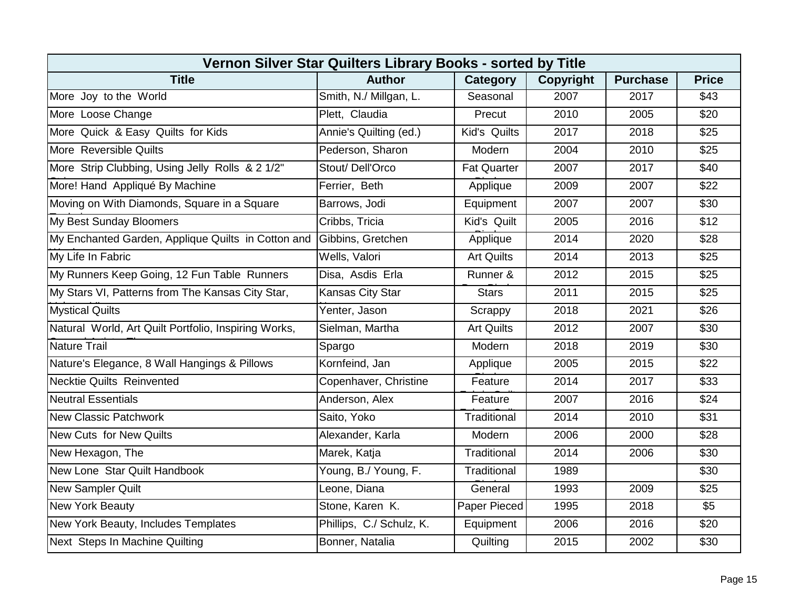| Vernon Silver Star Quilters Library Books - sorted by Title |                          |                    |                  |                 |                  |  |  |  |
|-------------------------------------------------------------|--------------------------|--------------------|------------------|-----------------|------------------|--|--|--|
| <b>Title</b>                                                | <b>Author</b>            | Category           | <b>Copyright</b> | <b>Purchase</b> | <b>Price</b>     |  |  |  |
| More Joy to the World                                       | Smith, N./ Millgan, L.   | Seasonal           | 2007             | 2017            | \$43             |  |  |  |
| More Loose Change                                           | Plett, Claudia           | Precut             | 2010             | 2005            | \$20             |  |  |  |
| More Quick & Easy Quilts for Kids                           | Annie's Quilting (ed.)   | Kid's Quilts       | 2017             | 2018            | \$25             |  |  |  |
| More Reversible Quilts                                      | Pederson, Sharon         | Modern             | 2004             | 2010            | \$25             |  |  |  |
| More Strip Clubbing, Using Jelly Rolls & 2 1/2"             | Stout/Dell'Orco          | <b>Fat Quarter</b> | 2007             | 2017            | \$40             |  |  |  |
| More! Hand Appliqué By Machine                              | Ferrier, Beth            | Applique           | 2009             | 2007            | \$22             |  |  |  |
| Moving on With Diamonds, Square in a Square                 | Barrows, Jodi            | Equipment          | 2007             | 2007            | \$30             |  |  |  |
| My Best Sunday Bloomers                                     | Cribbs, Tricia           | Kid's Quilt        | 2005             | 2016            | \$12             |  |  |  |
| My Enchanted Garden, Applique Quilts in Cotton and          | Gibbins, Gretchen        | Applique           | 2014             | 2020            | \$28             |  |  |  |
| My Life In Fabric                                           | Wells, Valori            | <b>Art Quilts</b>  | 2014             | 2013            | \$25             |  |  |  |
| My Runners Keep Going, 12 Fun Table Runners                 | Disa, Asdis Erla         | Runner &           | 2012             | 2015            | \$25             |  |  |  |
| My Stars VI, Patterns from The Kansas City Star,            | Kansas City Star         | <b>Stars</b>       | 2011             | 2015            | \$25             |  |  |  |
| <b>Mystical Quilts</b>                                      | Yenter, Jason            | Scrappy            | 2018             | 2021            | \$26             |  |  |  |
| Natural World, Art Quilt Portfolio, Inspiring Works,        | Sielman, Martha          | <b>Art Quilts</b>  | 2012             | 2007            | \$30             |  |  |  |
| Nature Trail                                                | Spargo                   | Modern             | 2018             | 2019            | \$30             |  |  |  |
| Nature's Elegance, 8 Wall Hangings & Pillows                | Kornfeind, Jan           | Applique           | 2005             | 2015            | $\overline{$22}$ |  |  |  |
| <b>Necktie Quilts Reinvented</b>                            | Copenhaver, Christine    | Feature            | 2014             | 2017            | \$33             |  |  |  |
| <b>Neutral Essentials</b>                                   | Anderson, Alex           | Feature            | 2007             | 2016            | \$24             |  |  |  |
| <b>New Classic Patchwork</b>                                | Saito, Yoko              | Traditional        | 2014             | 2010            | \$31             |  |  |  |
| <b>New Cuts for New Quilts</b>                              | Alexander, Karla         | Modern             | 2006             | 2000            | \$28             |  |  |  |
| New Hexagon, The                                            | Marek, Katja             | Traditional        | 2014             | 2006            | \$30             |  |  |  |
| New Lone Star Quilt Handbook                                | Young, B./ Young, F.     | Traditional        | 1989             |                 | \$30             |  |  |  |
| <b>New Sampler Quilt</b>                                    | Leone, Diana             | General            | 1993             | 2009            | \$25             |  |  |  |
| <b>New York Beauty</b>                                      | Stone, Karen K.          | Paper Pieced       | 1995             | 2018            | \$5              |  |  |  |
| New York Beauty, Includes Templates                         | Phillips, C./ Schulz, K. | Equipment          | 2006             | 2016            | \$20             |  |  |  |
| Next Steps In Machine Quilting                              | Bonner, Natalia          | Quilting           | 2015             | 2002            | \$30             |  |  |  |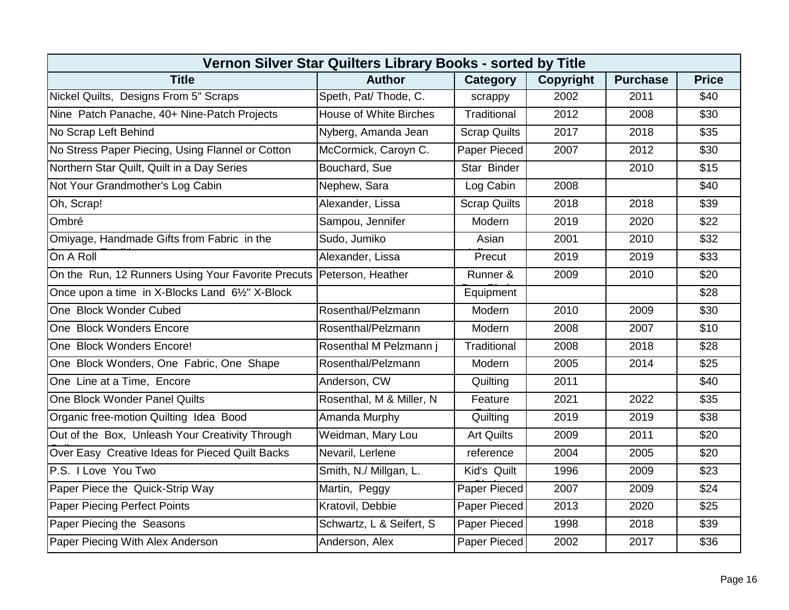| Vernon Silver Star Quilters Library Books - sorted by Title          |                               |                     |                  |                 |              |  |  |  |
|----------------------------------------------------------------------|-------------------------------|---------------------|------------------|-----------------|--------------|--|--|--|
| <b>Title</b>                                                         | <b>Author</b>                 | Category            | <b>Copyright</b> | <b>Purchase</b> | <b>Price</b> |  |  |  |
| Nickel Quilts, Designs From 5" Scraps                                | Speth, Pat/ Thode, C.         | scrappy             | 2002             | 2011            | \$40         |  |  |  |
| Nine Patch Panache, 40+ Nine-Patch Projects                          | <b>House of White Birches</b> | Traditional         | 2012             | 2008            | \$30         |  |  |  |
| No Scrap Left Behind                                                 | Nyberg, Amanda Jean           | <b>Scrap Quilts</b> | 2017             | 2018            | \$35         |  |  |  |
| No Stress Paper Piecing, Using Flannel or Cotton                     | McCormick, Caroyn C.          | Paper Pieced        | 2007             | 2012            | \$30         |  |  |  |
| Northern Star Quilt, Quilt in a Day Series                           | Bouchard, Sue                 | Star Binder         |                  | 2010            | \$15         |  |  |  |
| Not Your Grandmother's Log Cabin                                     | Nephew, Sara                  | Log Cabin           | 2008             |                 | \$40         |  |  |  |
| Oh, Scrap!                                                           | Alexander, Lissa              | <b>Scrap Quilts</b> | 2018             | 2018            | \$39         |  |  |  |
| Ombré                                                                | Sampou, Jennifer              | Modern              | 2019             | 2020            | \$22         |  |  |  |
| Omiyage, Handmade Gifts from Fabric in the                           | Sudo, Jumiko                  | Asian               | 2001             | 2010            | \$32         |  |  |  |
| On A Roll                                                            | Alexander, Lissa              | Precut              | 2019             | 2019            | \$33         |  |  |  |
| On the Run, 12 Runners Using Your Favorite Precuts Peterson, Heather |                               | Runner &            | 2009             | 2010            | \$20         |  |  |  |
| Once upon a time in X-Blocks Land 61/2" X-Block                      |                               | Equipment           |                  |                 | \$28         |  |  |  |
| One Block Wonder Cubed                                               | Rosenthal/Pelzmann            | Modern              | 2010             | 2009            | \$30         |  |  |  |
| One Block Wonders Encore                                             | Rosenthal/Pelzmann            | Modern              | 2008             | 2007            | \$10         |  |  |  |
| One Block Wonders Encore!                                            | Rosenthal M Pelzmann j        | Traditional         | 2008             | 2018            | \$28         |  |  |  |
| One Block Wonders, One Fabric, One Shape                             | Rosenthal/Pelzmann            | Modern              | 2005             | 2014            | \$25         |  |  |  |
| One Line at a Time, Encore                                           | Anderson, CW                  | Quilting            | 2011             |                 | \$40         |  |  |  |
| One Block Wonder Panel Quilts                                        | Rosenthal, M & Miller, N      | Feature             | 2021             | 2022            | \$35         |  |  |  |
| Organic free-motion Quilting Idea Bood                               | Amanda Murphy                 | Quilting            | 2019             | 2019            | \$38         |  |  |  |
| Out of the Box, Unleash Your Creativity Through                      | Weidman, Mary Lou             | <b>Art Quilts</b>   | 2009             | 2011            | \$20         |  |  |  |
| Over Easy Creative Ideas for Pieced Quilt Backs                      | Nevaril, Lerlene              | reference           | 2004             | 2005            | \$20         |  |  |  |
| P.S. I Love You Two                                                  | Smith, N./ Millgan, L.        | Kid's Quilt         | 1996             | 2009            | \$23         |  |  |  |
| Paper Piece the Quick-Strip Way                                      | Martin, Peggy                 | Paper Pieced        | 2007             | 2009            | \$24         |  |  |  |
| Paper Piecing Perfect Points                                         | Kratovil, Debbie              | Paper Pieced        | 2013             | 2020            | \$25         |  |  |  |
| Paper Piecing the Seasons                                            | Schwartz, L & Seifert, S      | Paper Pieced        | 1998             | 2018            | \$39         |  |  |  |
| Paper Piecing With Alex Anderson                                     | Anderson, Alex                | Paper Pieced        | 2002             | 2017            | \$36         |  |  |  |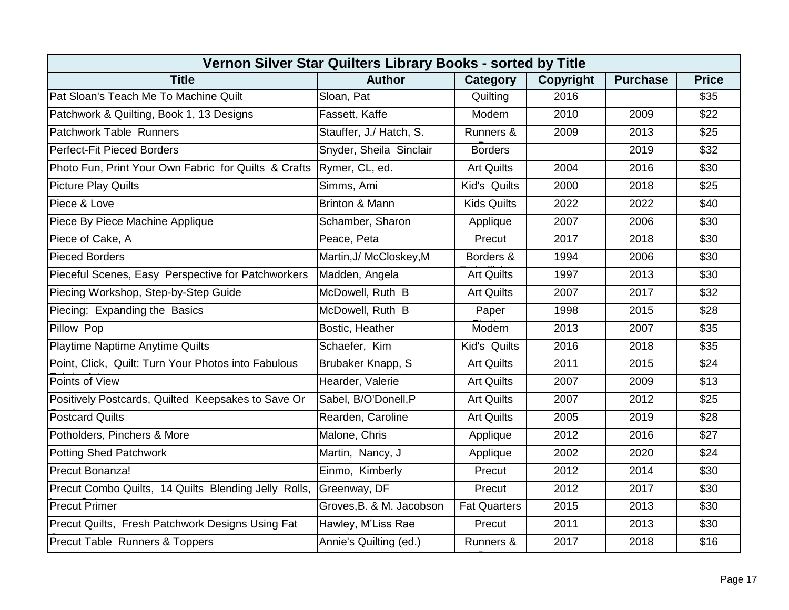| Vernon Silver Star Quilters Library Books - sorted by Title |                          |                     |           |                 |              |  |  |  |
|-------------------------------------------------------------|--------------------------|---------------------|-----------|-----------------|--------------|--|--|--|
| <b>Title</b>                                                | <b>Author</b>            | Category            | Copyright | <b>Purchase</b> | <b>Price</b> |  |  |  |
| Pat Sloan's Teach Me To Machine Quilt                       | Sloan, Pat               | Quilting            | 2016      |                 | \$35         |  |  |  |
| Patchwork & Quilting, Book 1, 13 Designs                    | Fassett, Kaffe           | Modern              | 2010      | 2009            | \$22         |  |  |  |
| Patchwork Table Runners                                     | Stauffer, J./ Hatch, S.  | Runners &           | 2009      | 2013            | \$25         |  |  |  |
| Perfect-Fit Pieced Borders                                  | Snyder, Sheila Sinclair  | <b>Borders</b>      |           | 2019            | \$32         |  |  |  |
| Photo Fun, Print Your Own Fabric for Quilts & Crafts        | Rymer, CL, ed.           | <b>Art Quilts</b>   | 2004      | 2016            | \$30         |  |  |  |
| <b>Picture Play Quilts</b>                                  | Simms, Ami               | Kid's Quilts        | 2000      | 2018            | \$25         |  |  |  |
| Piece & Love                                                | Brinton & Mann           | <b>Kids Quilts</b>  | 2022      | 2022            | \$40         |  |  |  |
| Piece By Piece Machine Applique                             | Schamber, Sharon         | Applique            | 2007      | 2006            | \$30         |  |  |  |
| Piece of Cake, A                                            | Peace, Peta              | Precut              | 2017      | 2018            | \$30         |  |  |  |
| <b>Pieced Borders</b>                                       | Martin, J/ McCloskey, M  | Borders &           | 1994      | 2006            | \$30         |  |  |  |
| Pieceful Scenes, Easy Perspective for Patchworkers          | Madden, Angela           | <b>Art Quilts</b>   | 1997      | 2013            | \$30         |  |  |  |
| Piecing Workshop, Step-by-Step Guide                        | McDowell, Ruth B         | <b>Art Quilts</b>   | 2007      | 2017            | \$32         |  |  |  |
| Piecing: Expanding the Basics                               | McDowell, Ruth B         | Paper               | 1998      | 2015            | \$28         |  |  |  |
| Pillow Pop                                                  | Bostic, Heather          | Modern              | 2013      | 2007            | \$35         |  |  |  |
| Playtime Naptime Anytime Quilts                             | Schaefer, Kim            | Kid's Quilts        | 2016      | 2018            | \$35         |  |  |  |
| Point, Click, Quilt: Turn Your Photos into Fabulous         | Brubaker Knapp, S        | <b>Art Quilts</b>   | 2011      | 2015            | \$24         |  |  |  |
| Points of View                                              | Hearder, Valerie         | <b>Art Quilts</b>   | 2007      | 2009            | \$13         |  |  |  |
| Positively Postcards, Quilted Keepsakes to Save Or          | Sabel, B/O'Donell, P     | <b>Art Quilts</b>   | 2007      | 2012            | \$25         |  |  |  |
| <b>Postcard Quilts</b>                                      | Rearden, Caroline        | <b>Art Quilts</b>   | 2005      | 2019            | \$28         |  |  |  |
| Potholders, Pinchers & More                                 | Malone, Chris            | Applique            | 2012      | 2016            | \$27         |  |  |  |
| <b>Potting Shed Patchwork</b>                               | Martin, Nancy, J         | Applique            | 2002      | 2020            | \$24         |  |  |  |
| Precut Bonanza!                                             | Einmo, Kimberly          | Precut              | 2012      | 2014            | \$30         |  |  |  |
| Precut Combo Quilts, 14 Quilts Blending Jelly Rolls,        | Greenway, DF             | Precut              | 2012      | 2017            | \$30         |  |  |  |
| <b>Precut Primer</b>                                        | Groves, B. & M. Jacobson | <b>Fat Quarters</b> | 2015      | 2013            | \$30         |  |  |  |
| Precut Quilts, Fresh Patchwork Designs Using Fat            | Hawley, M'Liss Rae       | Precut              | 2011      | 2013            | \$30         |  |  |  |
| Precut Table Runners & Toppers                              | Annie's Quilting (ed.)   | Runners &           | 2017      | 2018            | \$16         |  |  |  |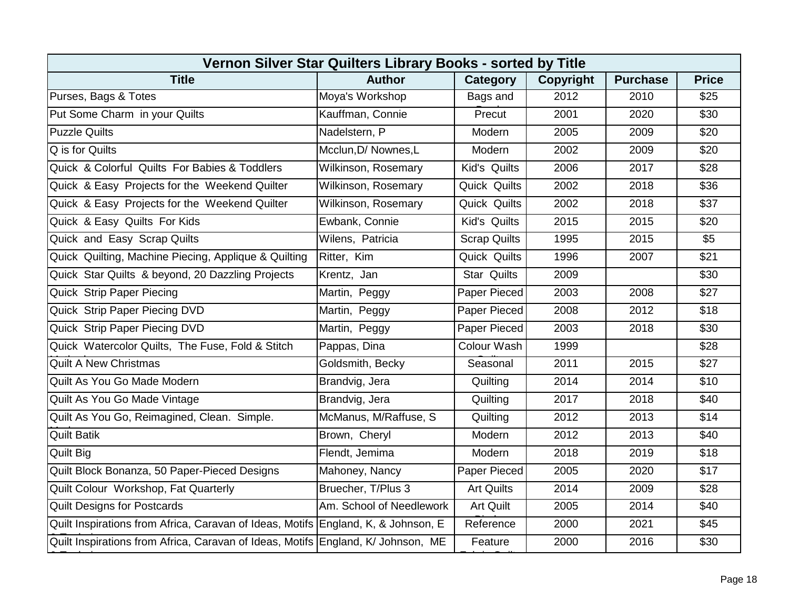| Vernon Silver Star Quilters Library Books - sorted by Title                       |                            |                     |                  |                 |              |  |  |  |
|-----------------------------------------------------------------------------------|----------------------------|---------------------|------------------|-----------------|--------------|--|--|--|
| <b>Title</b>                                                                      | <b>Author</b>              | Category            | <b>Copyright</b> | <b>Purchase</b> | <b>Price</b> |  |  |  |
| Purses, Bags & Totes                                                              | Moya's Workshop            | Bags and            | 2012             | 2010            | \$25         |  |  |  |
| Put Some Charm in your Quilts                                                     | Kauffman, Connie           | Precut              | 2001             | 2020            | \$30         |  |  |  |
| <b>Puzzle Quilts</b>                                                              | Nadelstern, P              | Modern              | 2005             | 2009            | \$20         |  |  |  |
| Q is for Quilts                                                                   | Mcclun, D/ Nownes, L       | Modern              | 2002             | 2009            | \$20         |  |  |  |
| Quick & Colorful Quilts For Babies & Toddlers                                     | <b>Wilkinson, Rosemary</b> | Kid's Quilts        | 2006             | 2017            | \$28         |  |  |  |
| Quick & Easy Projects for the Weekend Quilter                                     | Wilkinson, Rosemary        | Quick Quilts        | 2002             | 2018            | \$36         |  |  |  |
| Quick & Easy Projects for the Weekend Quilter                                     | Wilkinson, Rosemary        | Quick Quilts        | 2002             | 2018            | \$37         |  |  |  |
| Quick & Easy Quilts For Kids                                                      | Ewbank, Connie             | Kid's Quilts        | 2015             | 2015            | \$20         |  |  |  |
| Quick and Easy Scrap Quilts                                                       | Wilens, Patricia           | <b>Scrap Quilts</b> | 1995             | 2015            | \$5          |  |  |  |
| Quick Quilting, Machine Piecing, Applique & Quilting                              | Ritter, Kim                | Quick Quilts        | 1996             | 2007            | \$21         |  |  |  |
| Quick Star Quilts & beyond, 20 Dazzling Projects                                  | Krentz, Jan                | <b>Star Quilts</b>  | 2009             |                 | \$30         |  |  |  |
| Quick Strip Paper Piecing                                                         | Martin, Peggy              | Paper Pieced        | 2003             | 2008            | \$27         |  |  |  |
| Quick Strip Paper Piecing DVD                                                     | Martin, Peggy              | Paper Pieced        | 2008             | 2012            | \$18         |  |  |  |
| Quick Strip Paper Piecing DVD                                                     | Martin, Peggy              | Paper Pieced        | 2003             | 2018            | \$30         |  |  |  |
| Quick Watercolor Quilts, The Fuse, Fold & Stitch                                  | Pappas, Dina               | Colour Wash         | 1999             |                 | \$28         |  |  |  |
| <b>Quilt A New Christmas</b>                                                      | Goldsmith, Becky           | Seasonal            | 2011             | 2015            | \$27         |  |  |  |
| Quilt As You Go Made Modern                                                       | Brandvig, Jera             | Quilting            | 2014             | 2014            | \$10         |  |  |  |
| Quilt As You Go Made Vintage                                                      | Brandvig, Jera             | Quilting            | 2017             | 2018            | \$40         |  |  |  |
| Quilt As You Go, Reimagined, Clean. Simple.                                       | McManus, M/Raffuse, S      | Quilting            | 2012             | 2013            | \$14         |  |  |  |
| <b>Quilt Batik</b>                                                                | Brown, Cheryl              | Modern              | 2012             | 2013            | \$40         |  |  |  |
| <b>Quilt Big</b>                                                                  | Flendt, Jemima             | Modern              | 2018             | 2019            | \$18         |  |  |  |
| Quilt Block Bonanza, 50 Paper-Pieced Designs                                      | Mahoney, Nancy             | Paper Pieced        | 2005             | 2020            | \$17         |  |  |  |
| Quilt Colour Workshop, Fat Quarterly                                              | Bruecher, T/Plus 3         | <b>Art Quilts</b>   | 2014             | 2009            | \$28         |  |  |  |
| <b>Quilt Designs for Postcards</b>                                                | Am. School of Needlework   | Art Quilt           | 2005             | 2014            | \$40         |  |  |  |
| Quilt Inspirations from Africa, Caravan of Ideas, Motifs England, K, & Johnson, E |                            | Reference           | 2000             | 2021            | \$45         |  |  |  |
| Quilt Inspirations from Africa, Caravan of Ideas, Motifs England, K/ Johnson, ME  |                            | Feature             | 2000             | 2016            | \$30         |  |  |  |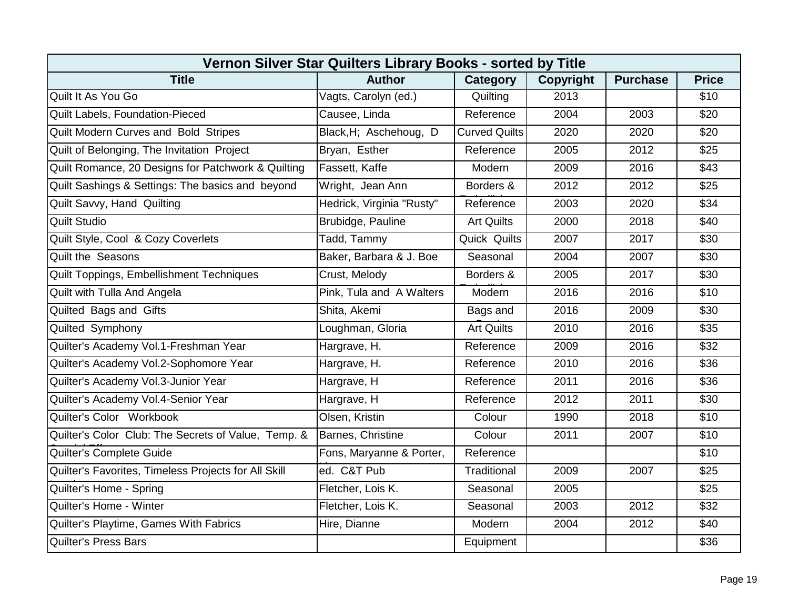| Vernon Silver Star Quilters Library Books - sorted by Title |                           |                      |                  |                 |              |  |  |  |
|-------------------------------------------------------------|---------------------------|----------------------|------------------|-----------------|--------------|--|--|--|
| <b>Title</b>                                                | <b>Author</b>             | Category             | <b>Copyright</b> | <b>Purchase</b> | <b>Price</b> |  |  |  |
| Quilt It As You Go                                          | Vagts, Carolyn (ed.)      | Quilting             | 2013             |                 | \$10         |  |  |  |
| <b>Quilt Labels, Foundation-Pieced</b>                      | Causee, Linda             | Reference            | 2004             | 2003            | \$20         |  |  |  |
| Quilt Modern Curves and Bold Stripes                        | Black, H; Aschehoug, D    | <b>Curved Quilts</b> | 2020             | 2020            | \$20         |  |  |  |
| Quilt of Belonging, The Invitation Project                  | Bryan, Esther             | Reference            | 2005             | 2012            | \$25         |  |  |  |
| Quilt Romance, 20 Designs for Patchwork & Quilting          | Fassett, Kaffe            | Modern               | 2009             | 2016            | \$43         |  |  |  |
| Quilt Sashings & Settings: The basics and beyond            | Wright, Jean Ann          | Borders &            | 2012             | 2012            | \$25         |  |  |  |
| Quilt Savvy, Hand Quilting                                  | Hedrick, Virginia "Rusty" | Reference            | 2003             | 2020            | \$34         |  |  |  |
| <b>Quilt Studio</b>                                         | Brubidge, Pauline         | <b>Art Quilts</b>    | 2000             | 2018            | \$40         |  |  |  |
| Quilt Style, Cool & Cozy Coverlets                          | Tadd, Tammy               | Quick Quilts         | 2007             | 2017            | \$30         |  |  |  |
| <b>Quilt the Seasons</b>                                    | Baker, Barbara & J. Boe   | Seasonal             | 2004             | 2007            | \$30         |  |  |  |
| Quilt Toppings, Embellishment Techniques                    | Crust, Melody             | Borders &            | 2005             | 2017            | \$30         |  |  |  |
| Quilt with Tulla And Angela                                 | Pink, Tula and A Walters  | Modern               | 2016             | 2016            | \$10         |  |  |  |
| Quilted Bags and Gifts                                      | Shita, Akemi              | Bags and             | 2016             | 2009            | \$30         |  |  |  |
| Quilted Symphony                                            | Loughman, Gloria          | <b>Art Quilts</b>    | 2010             | 2016            | \$35         |  |  |  |
| Quilter's Academy Vol.1-Freshman Year                       | Hargrave, H.              | Reference            | 2009             | 2016            | \$32         |  |  |  |
| Quilter's Academy Vol.2-Sophomore Year                      | Hargrave, H.              | Reference            | 2010             | 2016            | \$36         |  |  |  |
| Quilter's Academy Vol.3-Junior Year                         | Hargrave, H               | Reference            | 2011             | 2016            | \$36         |  |  |  |
| Quilter's Academy Vol.4-Senior Year                         | Hargrave, H               | Reference            | 2012             | 2011            | \$30         |  |  |  |
| Quilter's Color Workbook                                    | Olsen, Kristin            | Colour               | 1990             | 2018            | \$10         |  |  |  |
| Quilter's Color Club: The Secrets of Value, Temp. &         | Barnes, Christine         | Colour               | 2011             | 2007            | \$10         |  |  |  |
| Quilter's Complete Guide                                    | Fons, Maryanne & Porter,  | Reference            |                  |                 | \$10         |  |  |  |
| Quilter's Favorites, Timeless Projects for All Skill        | ed. C&T Pub               | Traditional          | 2009             | 2007            | \$25         |  |  |  |
| Quilter's Home - Spring                                     | Fletcher, Lois K.         | Seasonal             | 2005             |                 | \$25         |  |  |  |
| Quilter's Home - Winter                                     | Fletcher, Lois K.         | Seasonal             | 2003             | 2012            | \$32         |  |  |  |
| Quilter's Playtime, Games With Fabrics                      | Hire, Dianne              | Modern               | 2004             | 2012            | \$40         |  |  |  |
| <b>Quilter's Press Bars</b>                                 |                           | Equipment            |                  |                 | \$36         |  |  |  |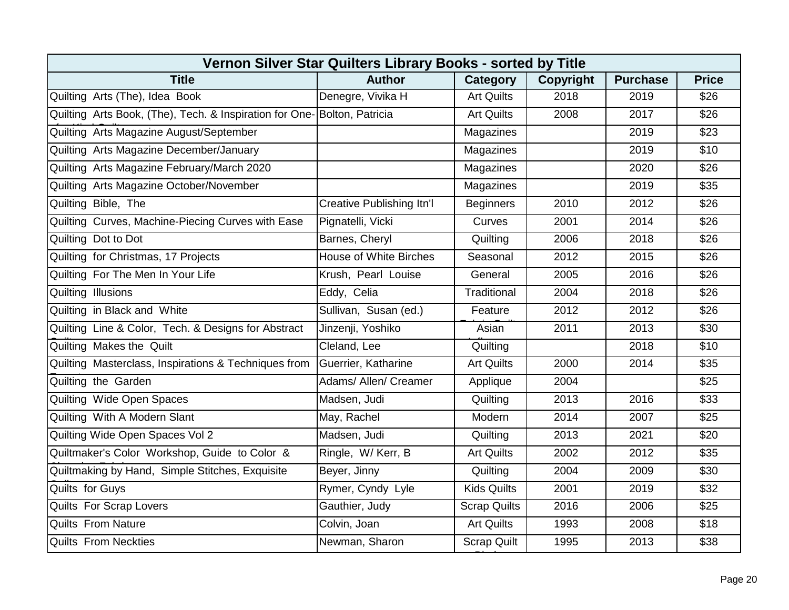| Vernon Silver Star Quilters Library Books - sorted by Title              |                               |                     |                  |                 |              |  |  |  |
|--------------------------------------------------------------------------|-------------------------------|---------------------|------------------|-----------------|--------------|--|--|--|
| <b>Title</b>                                                             | <b>Author</b>                 | Category            | <b>Copyright</b> | <b>Purchase</b> | <b>Price</b> |  |  |  |
| Quilting Arts (The), Idea Book                                           | Denegre, Vivika H             | <b>Art Quilts</b>   | 2018             | 2019            | \$26         |  |  |  |
| Quilting Arts Book, (The), Tech. & Inspiration for One- Bolton, Patricia |                               | <b>Art Quilts</b>   | 2008             | 2017            | \$26         |  |  |  |
| Quilting Arts Magazine August/September                                  |                               | Magazines           |                  | 2019            | \$23         |  |  |  |
| Quilting Arts Magazine December/January                                  |                               | Magazines           |                  | 2019            | \$10         |  |  |  |
| Quilting Arts Magazine February/March 2020                               |                               | Magazines           |                  | 2020            | \$26         |  |  |  |
| Quilting Arts Magazine October/November                                  |                               | Magazines           |                  | 2019            | \$35         |  |  |  |
| Quilting Bible, The                                                      | Creative Publishing Itn'l     | <b>Beginners</b>    | 2010             | 2012            | \$26         |  |  |  |
| Quilting Curves, Machine-Piecing Curves with Ease                        | Pignatelli, Vicki             | Curves              | 2001             | 2014            | \$26         |  |  |  |
| Quilting Dot to Dot                                                      | Barnes, Cheryl                | Quilting            | 2006             | 2018            | \$26         |  |  |  |
| Quilting for Christmas, 17 Projects                                      | <b>House of White Birches</b> | Seasonal            | 2012             | 2015            | \$26         |  |  |  |
| Quilting For The Men In Your Life                                        | Krush, Pearl Louise           | General             | 2005             | 2016            | \$26         |  |  |  |
| Quilting Illusions                                                       | Eddy, Celia                   | Traditional         | 2004             | 2018            | \$26         |  |  |  |
| Quilting in Black and White                                              | Sullivan, Susan (ed.)         | Feature             | 2012             | 2012            | \$26         |  |  |  |
| Quilting Line & Color, Tech. & Designs for Abstract                      | Jinzenji, Yoshiko             | Asian               | 2011             | 2013            | \$30         |  |  |  |
| Quilting Makes the Quilt                                                 | Cleland, Lee                  | Quilting            |                  | 2018            | \$10         |  |  |  |
| Quilting Masterclass, Inspirations & Techniques from                     | Guerrier, Katharine           | <b>Art Quilts</b>   | 2000             | 2014            | \$35         |  |  |  |
| Quilting the Garden                                                      | Adams/ Allen/ Creamer         | Applique            | 2004             |                 | \$25         |  |  |  |
| Quilting Wide Open Spaces                                                | Madsen, Judi                  | Quilting            | 2013             | 2016            | \$33         |  |  |  |
| Quilting With A Modern Slant                                             | May, Rachel                   | Modern              | 2014             | 2007            | \$25         |  |  |  |
| Quilting Wide Open Spaces Vol 2                                          | Madsen, Judi                  | Quilting            | 2013             | 2021            | \$20         |  |  |  |
| Quiltmaker's Color Workshop, Guide to Color &                            | Ringle, W/Kerr, B             | <b>Art Quilts</b>   | 2002             | 2012            | \$35         |  |  |  |
| Quiltmaking by Hand, Simple Stitches, Exquisite                          | Beyer, Jinny                  | Quilting            | 2004             | 2009            | \$30         |  |  |  |
| Quilts for Guys                                                          | Rymer, Cyndy Lyle             | <b>Kids Quilts</b>  | 2001             | 2019            | \$32         |  |  |  |
| <b>Quilts For Scrap Lovers</b>                                           | Gauthier, Judy                | <b>Scrap Quilts</b> | 2016             | 2006            | \$25         |  |  |  |
| <b>Quilts From Nature</b>                                                | Colvin, Joan                  | <b>Art Quilts</b>   | 1993             | 2008            | \$18         |  |  |  |
| <b>Quilts From Neckties</b>                                              | Newman, Sharon                | <b>Scrap Quilt</b>  | 1995             | 2013            | \$38         |  |  |  |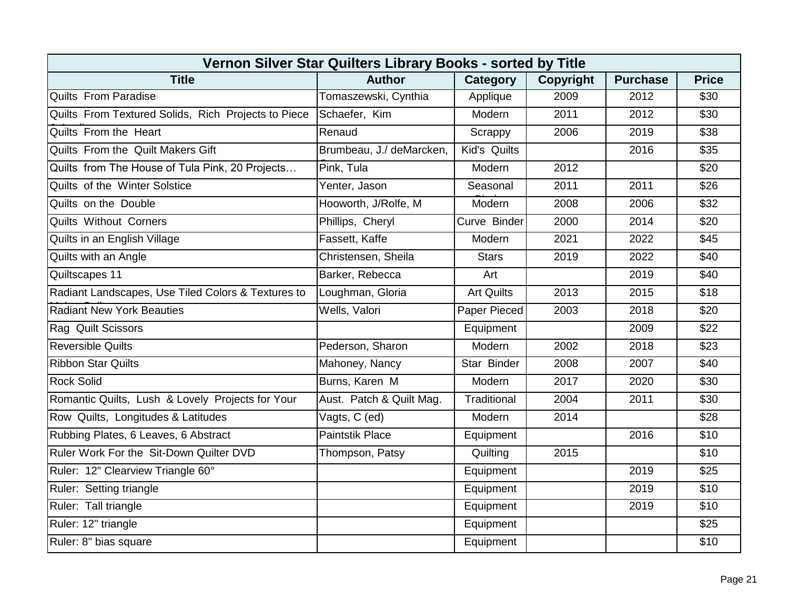| Vernon Silver Star Quilters Library Books - sorted by Title |                          |                   |                  |                 |                  |  |  |  |
|-------------------------------------------------------------|--------------------------|-------------------|------------------|-----------------|------------------|--|--|--|
| <b>Title</b>                                                | <b>Author</b>            | Category          | <b>Copyright</b> | <b>Purchase</b> | <b>Price</b>     |  |  |  |
| <b>Quilts From Paradise</b>                                 | Tomaszewski, Cynthia     | Applique          | 2009             | 2012            | \$30             |  |  |  |
| Quilts From Textured Solids, Rich Projects to Piece         | Schaefer, Kim            | Modern            | 2011             | 2012            | \$30             |  |  |  |
| Quilts From the Heart                                       | Renaud                   | Scrappy           | 2006             | 2019            | \$38             |  |  |  |
| Quilts From the Quilt Makers Gift                           | Brumbeau, J./ deMarcken, | Kid's Quilts      |                  | 2016            | \$35             |  |  |  |
| Quilts from The House of Tula Pink, 20 Projects             | Pink, Tula               | Modern            | 2012             |                 | \$20             |  |  |  |
| Quilts of the Winter Solstice                               | Yenter, Jason            | Seasonal          | 2011             | 2011            | \$26             |  |  |  |
| Quilts on the Double                                        | Hooworth, J/Rolfe, M     | Modern            | 2008             | 2006            | \$32             |  |  |  |
| <b>Quilts Without Corners</b>                               | Phillips, Cheryl         | Curve Binder      | 2000             | 2014            | \$20             |  |  |  |
| Quilts in an English Village                                | Fassett, Kaffe           | Modern            | 2021             | 2022            | \$45             |  |  |  |
| Quilts with an Angle                                        | Christensen, Sheila      | <b>Stars</b>      | 2019             | 2022            | $\overline{$40}$ |  |  |  |
| Quiltscapes 11                                              | Barker, Rebecca          | Art               |                  | 2019            | \$40             |  |  |  |
| Radiant Landscapes, Use Tiled Colors & Textures to          | Loughman, Gloria         | <b>Art Quilts</b> | 2013             | 2015            | \$18             |  |  |  |
| <b>Radiant New York Beauties</b>                            | Wells, Valori            | Paper Pieced      | 2003             | 2018            | \$20             |  |  |  |
| Rag Quilt Scissors                                          |                          | Equipment         |                  | 2009            | \$22             |  |  |  |
| <b>Reversible Quilts</b>                                    | Pederson, Sharon         | Modern            | 2002             | 2018            | \$23             |  |  |  |
| <b>Ribbon Star Quilts</b>                                   | Mahoney, Nancy           | Star Binder       | 2008             | 2007            | \$40             |  |  |  |
| <b>Rock Solid</b>                                           | Burns, Karen M           | Modern            | 2017             | 2020            | \$30             |  |  |  |
| Romantic Quilts, Lush & Lovely Projects for Your            | Aust. Patch & Quilt Mag. | Traditional       | 2004             | 2011            | \$30             |  |  |  |
| Row Quilts, Longitudes & Latitudes                          | Vagts, C (ed)            | Modern            | 2014             |                 | \$28             |  |  |  |
| Rubbing Plates, 6 Leaves, 6 Abstract                        | <b>Paintstik Place</b>   | Equipment         |                  | 2016            | \$10             |  |  |  |
| Ruler Work For the Sit-Down Quilter DVD                     | Thompson, Patsy          | Quilting          | 2015             |                 | \$10             |  |  |  |
| Ruler: 12" Clearview Triangle 60°                           |                          | Equipment         |                  | 2019            | \$25             |  |  |  |
| Ruler: Setting triangle                                     |                          | Equipment         |                  | 2019            | \$10             |  |  |  |
| Ruler: Tall triangle                                        |                          | Equipment         |                  | 2019            | \$10             |  |  |  |
| Ruler: 12" triangle                                         |                          | Equipment         |                  |                 | $\overline{$25}$ |  |  |  |
| Ruler: 8" bias square                                       |                          | Equipment         |                  |                 | \$10             |  |  |  |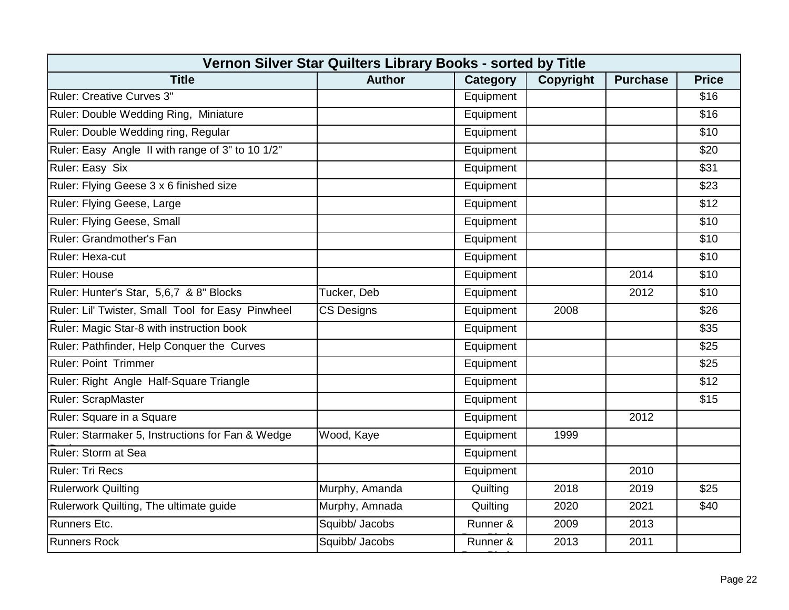| Vernon Silver Star Quilters Library Books - sorted by Title |                   |                 |           |                 |              |  |  |  |
|-------------------------------------------------------------|-------------------|-----------------|-----------|-----------------|--------------|--|--|--|
| <b>Title</b>                                                | <b>Author</b>     | <b>Category</b> | Copyright | <b>Purchase</b> | <b>Price</b> |  |  |  |
| Ruler: Creative Curves 3"                                   |                   | Equipment       |           |                 | \$16         |  |  |  |
| Ruler: Double Wedding Ring, Miniature                       |                   | Equipment       |           |                 | \$16         |  |  |  |
| Ruler: Double Wedding ring, Regular                         |                   | Equipment       |           |                 | \$10         |  |  |  |
| Ruler: Easy Angle II with range of 3" to 10 1/2"            |                   | Equipment       |           |                 | \$20         |  |  |  |
| Ruler: Easy Six                                             |                   | Equipment       |           |                 | \$31         |  |  |  |
| Ruler: Flying Geese 3 x 6 finished size                     |                   | Equipment       |           |                 | \$23         |  |  |  |
| Ruler: Flying Geese, Large                                  |                   | Equipment       |           |                 | \$12         |  |  |  |
| Ruler: Flying Geese, Small                                  |                   | Equipment       |           |                 | \$10         |  |  |  |
| Ruler: Grandmother's Fan                                    |                   | Equipment       |           |                 | \$10         |  |  |  |
| Ruler: Hexa-cut                                             |                   | Equipment       |           |                 | \$10         |  |  |  |
| Ruler: House                                                |                   | Equipment       |           | 2014            | \$10         |  |  |  |
| Ruler: Hunter's Star, 5,6,7 & 8" Blocks                     | Tucker, Deb       | Equipment       |           | 2012            | \$10         |  |  |  |
| Ruler: Lil' Twister, Small Tool for Easy Pinwheel           | <b>CS Designs</b> | Equipment       | 2008      |                 | \$26         |  |  |  |
| Ruler: Magic Star-8 with instruction book                   |                   | Equipment       |           |                 | \$35         |  |  |  |
| Ruler: Pathfinder, Help Conquer the Curves                  |                   | Equipment       |           |                 | \$25         |  |  |  |
| <b>Ruler: Point Trimmer</b>                                 |                   | Equipment       |           |                 | \$25         |  |  |  |
| Ruler: Right Angle Half-Square Triangle                     |                   | Equipment       |           |                 | \$12         |  |  |  |
| Ruler: ScrapMaster                                          |                   | Equipment       |           |                 | \$15         |  |  |  |
| Ruler: Square in a Square                                   |                   | Equipment       |           | 2012            |              |  |  |  |
| Ruler: Starmaker 5, Instructions for Fan & Wedge            | Wood, Kaye        | Equipment       | 1999      |                 |              |  |  |  |
| Ruler: Storm at Sea                                         |                   | Equipment       |           |                 |              |  |  |  |
| Ruler: Tri Recs                                             |                   | Equipment       |           | 2010            |              |  |  |  |
| <b>Rulerwork Quilting</b>                                   | Murphy, Amanda    | Quilting        | 2018      | 2019            | \$25         |  |  |  |
| Rulerwork Quilting, The ultimate guide                      | Murphy, Amnada    | Quilting        | 2020      | 2021            | \$40         |  |  |  |
| <b>Runners Etc.</b>                                         | Squibb/ Jacobs    | Runner &        | 2009      | 2013            |              |  |  |  |
| <b>Runners Rock</b>                                         | Squibb/ Jacobs    | Runner &        | 2013      | 2011            |              |  |  |  |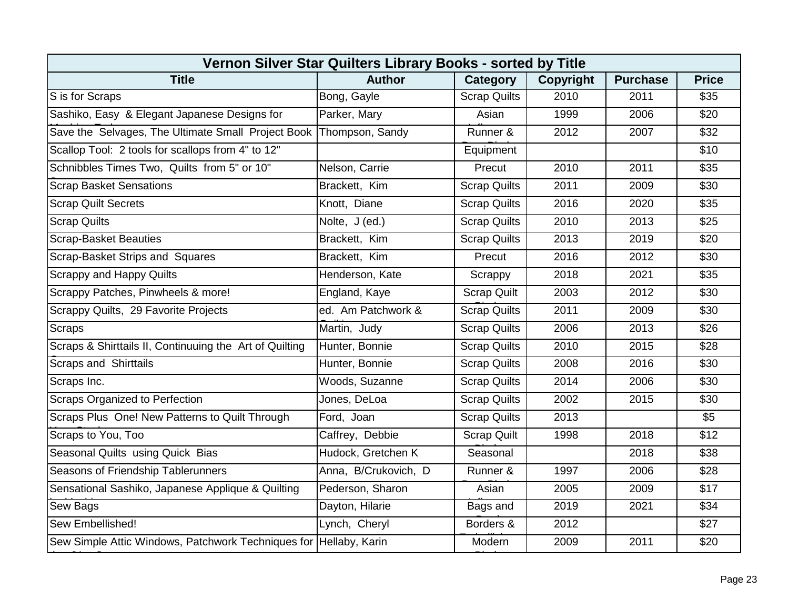| Vernon Silver Star Quilters Library Books - sorted by Title       |                      |                     |                  |                 |              |  |  |  |
|-------------------------------------------------------------------|----------------------|---------------------|------------------|-----------------|--------------|--|--|--|
| <b>Title</b>                                                      | <b>Author</b>        | Category            | <b>Copyright</b> | <b>Purchase</b> | <b>Price</b> |  |  |  |
| S is for Scraps                                                   | Bong, Gayle          | <b>Scrap Quilts</b> | 2010             | 2011            | \$35         |  |  |  |
| Sashiko, Easy & Elegant Japanese Designs for                      | Parker, Mary         | Asian               | 1999             | 2006            | \$20         |  |  |  |
| Save the Selvages, The Ultimate Small Project Book                | Thompson, Sandy      | Runner &            | 2012             | 2007            | \$32         |  |  |  |
| Scallop Tool: 2 tools for scallops from 4" to 12"                 |                      | Equipment           |                  |                 | \$10         |  |  |  |
| Schnibbles Times Two, Quilts from 5" or 10"                       | Nelson, Carrie       | Precut              | 2010             | 2011            | \$35         |  |  |  |
| <b>Scrap Basket Sensations</b>                                    | Brackett, Kim        | <b>Scrap Quilts</b> | 2011             | 2009            | \$30         |  |  |  |
| <b>Scrap Quilt Secrets</b>                                        | Knott, Diane         | <b>Scrap Quilts</b> | 2016             | 2020            | \$35         |  |  |  |
| <b>Scrap Quilts</b>                                               | Nolte, J (ed.)       | <b>Scrap Quilts</b> | 2010             | 2013            | \$25         |  |  |  |
| <b>Scrap-Basket Beauties</b>                                      | Brackett, Kim        | <b>Scrap Quilts</b> | 2013             | 2019            | \$20         |  |  |  |
| Scrap-Basket Strips and Squares                                   | Brackett, Kim        | Precut              | 2016             | 2012            | \$30         |  |  |  |
| <b>Scrappy and Happy Quilts</b>                                   | Henderson, Kate      | Scrappy             | 2018             | 2021            | \$35         |  |  |  |
| Scrappy Patches, Pinwheels & more!                                | England, Kaye        | <b>Scrap Quilt</b>  | 2003             | 2012            | \$30         |  |  |  |
| Scrappy Quilts, 29 Favorite Projects                              | ed. Am Patchwork &   | <b>Scrap Quilts</b> | 2011             | 2009            | \$30         |  |  |  |
| <b>Scraps</b>                                                     | Martin, Judy         | <b>Scrap Quilts</b> | 2006             | 2013            | \$26         |  |  |  |
| Scraps & Shirttails II, Continuuing the Art of Quilting           | Hunter, Bonnie       | <b>Scrap Quilts</b> | 2010             | 2015            | \$28         |  |  |  |
| <b>Scraps and Shirttails</b>                                      | Hunter, Bonnie       | <b>Scrap Quilts</b> | 2008             | 2016            | \$30         |  |  |  |
| Scraps Inc.                                                       | Woods, Suzanne       | <b>Scrap Quilts</b> | 2014             | 2006            | \$30         |  |  |  |
| <b>Scraps Organized to Perfection</b>                             | Jones, DeLoa         | <b>Scrap Quilts</b> | 2002             | 2015            | \$30         |  |  |  |
| Scraps Plus One! New Patterns to Quilt Through                    | Ford, Joan           | <b>Scrap Quilts</b> | 2013             |                 | \$5          |  |  |  |
| Scraps to You, Too                                                | Caffrey, Debbie      | <b>Scrap Quilt</b>  | 1998             | 2018            | \$12         |  |  |  |
| Seasonal Quilts using Quick Bias                                  | Hudock, Gretchen K   | Seasonal            |                  | 2018            | \$38         |  |  |  |
| Seasons of Friendship Tablerunners                                | Anna, B/Crukovich, D | Runner &            | 1997             | 2006            | \$28         |  |  |  |
| Sensational Sashiko, Japanese Applique & Quilting                 | Pederson, Sharon     | Asian               | 2005             | 2009            | \$17         |  |  |  |
| <b>Sew Bags</b>                                                   | Dayton, Hilarie      | Bags and            | 2019             | 2021            | \$34         |  |  |  |
| Sew Embellished!                                                  | Lynch, Cheryl        | Borders &           | 2012             |                 | \$27         |  |  |  |
| Sew Simple Attic Windows, Patchwork Techniques for Hellaby, Karin |                      | Modern              | 2009             | 2011            | \$20         |  |  |  |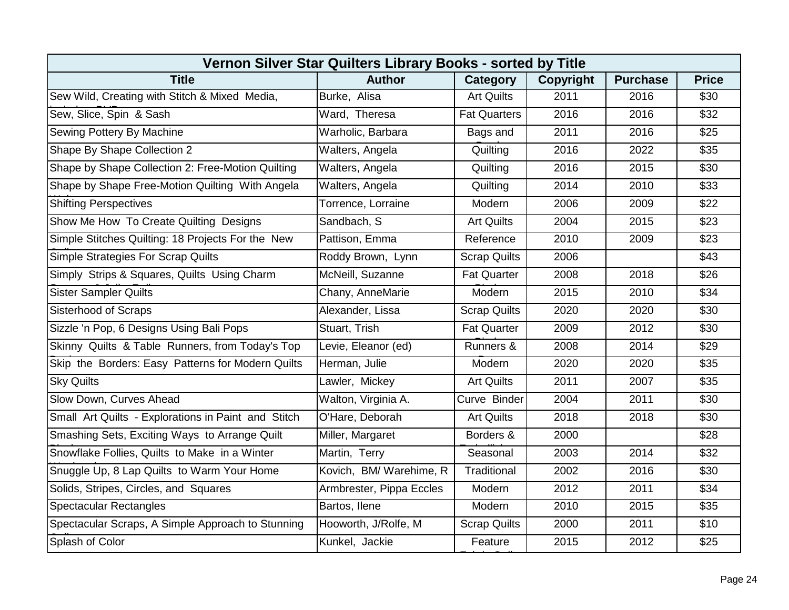| Vernon Silver Star Quilters Library Books - sorted by Title |                          |                     |                  |                 |              |  |  |  |
|-------------------------------------------------------------|--------------------------|---------------------|------------------|-----------------|--------------|--|--|--|
| <b>Title</b>                                                | <b>Author</b>            | Category            | <b>Copyright</b> | <b>Purchase</b> | <b>Price</b> |  |  |  |
| Sew Wild, Creating with Stitch & Mixed Media,               | Burke, Alisa             | <b>Art Quilts</b>   | 2011             | 2016            | \$30         |  |  |  |
| Sew, Slice, Spin & Sash                                     | Ward, Theresa            | <b>Fat Quarters</b> | 2016             | 2016            | \$32         |  |  |  |
| Sewing Pottery By Machine                                   | Warholic, Barbara        | Bags and            | 2011             | 2016            | \$25         |  |  |  |
| Shape By Shape Collection 2                                 | Walters, Angela          | Quilting            | 2016             | 2022            | \$35         |  |  |  |
| Shape by Shape Collection 2: Free-Motion Quilting           | Walters, Angela          | Quilting            | 2016             | 2015            | \$30         |  |  |  |
| Shape by Shape Free-Motion Quilting With Angela             | Walters, Angela          | Quilting            | 2014             | 2010            | \$33         |  |  |  |
| <b>Shifting Perspectives</b>                                | Torrence, Lorraine       | Modern              | 2006             | 2009            | \$22         |  |  |  |
| Show Me How To Create Quilting Designs                      | Sandbach, S              | <b>Art Quilts</b>   | 2004             | 2015            | \$23         |  |  |  |
| Simple Stitches Quilting: 18 Projects For the New           | Pattison, Emma           | Reference           | 2010             | 2009            | \$23         |  |  |  |
| Simple Strategies For Scrap Quilts                          | Roddy Brown, Lynn        | <b>Scrap Quilts</b> | 2006             |                 | \$43         |  |  |  |
| Simply Strips & Squares, Quilts Using Charm                 | McNeill, Suzanne         | <b>Fat Quarter</b>  | 2008             | 2018            | \$26         |  |  |  |
| <b>Sister Sampler Quilts</b>                                | Chany, AnneMarie         | Modern              | 2015             | 2010            | \$34         |  |  |  |
| <b>Sisterhood of Scraps</b>                                 | Alexander, Lissa         | <b>Scrap Quilts</b> | 2020             | 2020            | \$30         |  |  |  |
| Sizzle 'n Pop, 6 Designs Using Bali Pops                    | Stuart, Trish            | <b>Fat Quarter</b>  | 2009             | 2012            | \$30         |  |  |  |
| Skinny Quilts & Table Runners, from Today's Top             | Levie, Eleanor (ed)      | Runners &           | 2008             | 2014            | \$29         |  |  |  |
| Skip the Borders: Easy Patterns for Modern Quilts           | Herman, Julie            | Modern              | 2020             | 2020            | \$35         |  |  |  |
| <b>Sky Quilts</b>                                           | Lawler, Mickey           | <b>Art Quilts</b>   | 2011             | 2007            | \$35         |  |  |  |
| Slow Down, Curves Ahead                                     | Walton, Virginia A.      | Curve Binder        | 2004             | 2011            | \$30         |  |  |  |
| Small Art Quilts - Explorations in Paint and Stitch         | O'Hare, Deborah          | <b>Art Quilts</b>   | 2018             | 2018            | \$30         |  |  |  |
| Smashing Sets, Exciting Ways to Arrange Quilt               | Miller, Margaret         | Borders &           | 2000             |                 | \$28         |  |  |  |
| Snowflake Follies, Quilts to Make in a Winter               | Martin, Terry            | Seasonal            | 2003             | 2014            | \$32         |  |  |  |
| Snuggle Up, 8 Lap Quilts to Warm Your Home                  | Kovich, BM/ Warehime, R  | Traditional         | 2002             | 2016            | \$30         |  |  |  |
| Solids, Stripes, Circles, and Squares                       | Armbrester, Pippa Eccles | Modern              | 2012             | 2011            | \$34         |  |  |  |
| <b>Spectacular Rectangles</b>                               | Bartos, Ilene            | Modern              | 2010             | 2015            | \$35         |  |  |  |
| Spectacular Scraps, A Simple Approach to Stunning           | Hooworth, J/Rolfe, M     | <b>Scrap Quilts</b> | 2000             | 2011            | \$10         |  |  |  |
| Splash of Color                                             | Kunkel, Jackie           | Feature             | 2015             | 2012            | \$25         |  |  |  |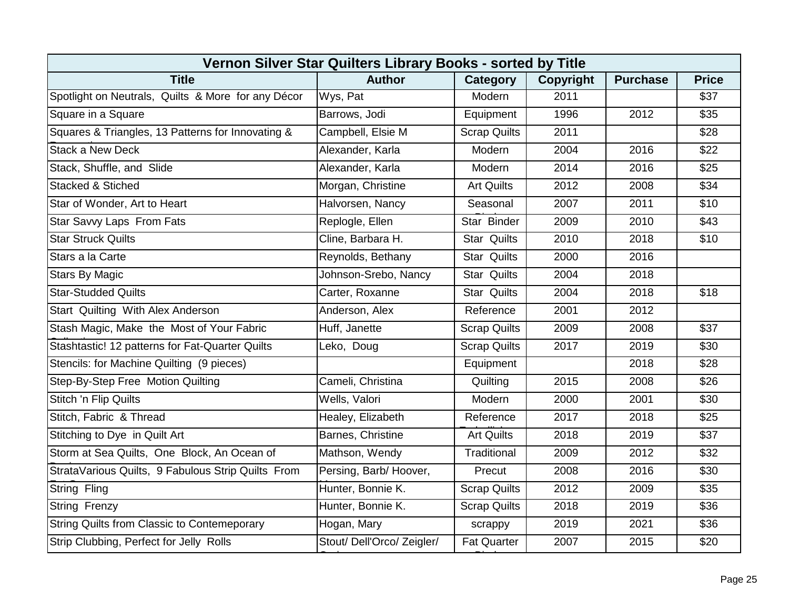| Vernon Silver Star Quilters Library Books - sorted by Title |                            |                     |                  |                 |              |  |
|-------------------------------------------------------------|----------------------------|---------------------|------------------|-----------------|--------------|--|
| <b>Title</b>                                                | <b>Author</b>              | Category            | <b>Copyright</b> | <b>Purchase</b> | <b>Price</b> |  |
| Spotlight on Neutrals, Quilts & More for any Décor          | Wys, Pat                   | Modern              | 2011             |                 | \$37         |  |
| Square in a Square                                          | Barrows, Jodi              | Equipment           | 1996             | 2012            | \$35         |  |
| Squares & Triangles, 13 Patterns for Innovating &           | Campbell, Elsie M          | <b>Scrap Quilts</b> | 2011             |                 | \$28         |  |
| <b>Stack a New Deck</b>                                     | Alexander, Karla           | Modern              | 2004             | 2016            | \$22         |  |
| Stack, Shuffle, and Slide                                   | Alexander, Karla           | Modern              | 2014             | 2016            | \$25         |  |
| <b>Stacked &amp; Stiched</b>                                | Morgan, Christine          | <b>Art Quilts</b>   | 2012             | 2008            | \$34         |  |
| Star of Wonder, Art to Heart                                | Halvorsen, Nancy           | Seasonal            | 2007             | 2011            | \$10         |  |
| <b>Star Savvy Laps From Fats</b>                            | Replogle, Ellen            | Star Binder         | 2009             | 2010            | \$43         |  |
| <b>Star Struck Quilts</b>                                   | Cline, Barbara H.          | <b>Star Quilts</b>  | 2010             | 2018            | \$10         |  |
| Stars a la Carte                                            | Reynolds, Bethany          | <b>Star Quilts</b>  | 2000             | 2016            |              |  |
| <b>Stars By Magic</b>                                       | Johnson-Srebo, Nancy       | <b>Star Quilts</b>  | 2004             | 2018            |              |  |
| <b>Star-Studded Quilts</b>                                  | Carter, Roxanne            | <b>Star Quilts</b>  | 2004             | 2018            | \$18         |  |
| Start Quilting With Alex Anderson                           | Anderson, Alex             | Reference           | 2001             | 2012            |              |  |
| Stash Magic, Make the Most of Your Fabric                   | Huff, Janette              | <b>Scrap Quilts</b> | 2009             | 2008            | \$37         |  |
| Stashtastic! 12 patterns for Fat-Quarter Quilts             | Leko, Doug                 | <b>Scrap Quilts</b> | 2017             | 2019            | \$30         |  |
| Stencils: for Machine Quilting (9 pieces)                   |                            | Equipment           |                  | 2018            | \$28         |  |
| Step-By-Step Free Motion Quilting                           | Cameli, Christina          | Quilting            | 2015             | 2008            | \$26         |  |
| Stitch 'n Flip Quilts                                       | Wells, Valori              | Modern              | 2000             | 2001            | \$30         |  |
| Stitch, Fabric & Thread                                     | Healey, Elizabeth          | Reference           | 2017             | 2018            | \$25         |  |
| Stitching to Dye in Quilt Art                               | Barnes, Christine          | <b>Art Quilts</b>   | 2018             | 2019            | \$37         |  |
| Storm at Sea Quilts, One Block, An Ocean of                 | Mathson, Wendy             | Traditional         | 2009             | 2012            | \$32         |  |
| StrataVarious Quilts, 9 Fabulous Strip Quilts From          | Persing, Barb/Hoover,      | Precut              | 2008             | 2016            | \$30         |  |
| String Fling                                                | Hunter, Bonnie K.          | <b>Scrap Quilts</b> | 2012             | 2009            | \$35         |  |
| <b>String Frenzy</b>                                        | Hunter, Bonnie K.          | <b>Scrap Quilts</b> | 2018             | 2019            | \$36         |  |
| String Quilts from Classic to Contemeporary                 | Hogan, Mary                | scrappy             | 2019             | 2021            | \$36         |  |
| Strip Clubbing, Perfect for Jelly Rolls                     | Stout/ Dell'Orco/ Zeigler/ | <b>Fat Quarter</b>  | 2007             | 2015            | \$20         |  |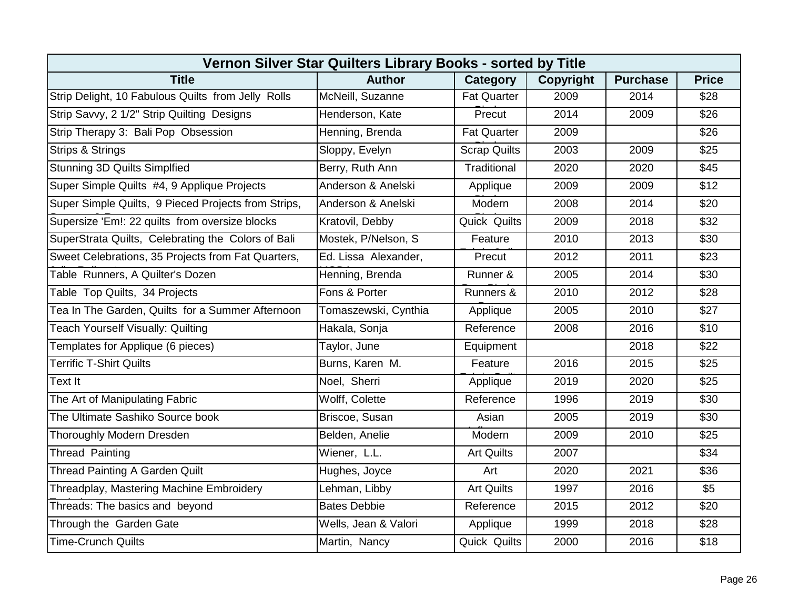| Vernon Silver Star Quilters Library Books - sorted by Title |                      |                     |           |                 |              |  |
|-------------------------------------------------------------|----------------------|---------------------|-----------|-----------------|--------------|--|
| <b>Title</b>                                                | <b>Author</b>        | Category            | Copyright | <b>Purchase</b> | <b>Price</b> |  |
| Strip Delight, 10 Fabulous Quilts from Jelly Rolls          | McNeill, Suzanne     | <b>Fat Quarter</b>  | 2009      | 2014            | \$28         |  |
| Strip Savvy, 2 1/2" Strip Quilting Designs                  | Henderson, Kate      | Precut              | 2014      | 2009            | \$26         |  |
| Strip Therapy 3: Bali Pop Obsession                         | Henning, Brenda      | <b>Fat Quarter</b>  | 2009      |                 | \$26         |  |
| <b>Strips &amp; Strings</b>                                 | Sloppy, Evelyn       | <b>Scrap Quilts</b> | 2003      | 2009            | \$25         |  |
| <b>Stunning 3D Quilts Simplfied</b>                         | Berry, Ruth Ann      | Traditional         | 2020      | 2020            | \$45         |  |
| Super Simple Quilts #4, 9 Applique Projects                 | Anderson & Anelski   | Applique            | 2009      | 2009            | \$12         |  |
| Super Simple Quilts, 9 Pieced Projects from Strips,         | Anderson & Anelski   | Modern              | 2008      | 2014            | \$20         |  |
| Supersize 'Em!: 22 quilts from oversize blocks              | Kratovil, Debby      | Quick Quilts        | 2009      | 2018            | \$32         |  |
| SuperStrata Quilts, Celebrating the Colors of Bali          | Mostek, P/Nelson, S  | Feature             | 2010      | 2013            | \$30         |  |
| Sweet Celebrations, 35 Projects from Fat Quarters,          | Ed. Lissa Alexander, | Precut              | 2012      | 2011            | \$23         |  |
| Table Runners, A Quilter's Dozen                            | Henning, Brenda      | Runner &            | 2005      | 2014            | \$30         |  |
| Table Top Quilts, 34 Projects                               | Fons & Porter        | Runners &           | 2010      | 2012            | \$28         |  |
| Tea In The Garden, Quilts for a Summer Afternoon            | Tomaszewski, Cynthia | Applique            | 2005      | 2010            | \$27         |  |
| <b>Teach Yourself Visually: Quilting</b>                    | Hakala, Sonja        | Reference           | 2008      | 2016            | \$10         |  |
| Templates for Applique (6 pieces)                           | Taylor, June         | Equipment           |           | 2018            | \$22         |  |
| <b>Terrific T-Shirt Quilts</b>                              | Burns, Karen M.      | Feature             | 2016      | 2015            | \$25         |  |
| Text It                                                     | Noel, Sherri         | Applique            | 2019      | 2020            | \$25         |  |
| The Art of Manipulating Fabric                              | Wolff, Colette       | Reference           | 1996      | 2019            | \$30         |  |
| The Ultimate Sashiko Source book                            | Briscoe, Susan       | Asian               | 2005      | 2019            | \$30         |  |
| <b>Thoroughly Modern Dresden</b>                            | Belden, Anelie       | Modern              | 2009      | 2010            | \$25         |  |
| <b>Thread Painting</b>                                      | Wiener, L.L.         | <b>Art Quilts</b>   | 2007      |                 | \$34         |  |
| <b>Thread Painting A Garden Quilt</b>                       | Hughes, Joyce        | Art                 | 2020      | 2021            | \$36         |  |
| Threadplay, Mastering Machine Embroidery                    | Lehman, Libby        | <b>Art Quilts</b>   | 1997      | 2016            | \$5          |  |
| Threads: The basics and beyond                              | <b>Bates Debbie</b>  | Reference           | 2015      | 2012            | \$20         |  |
| Through the Garden Gate                                     | Wells, Jean & Valori | Applique            | 1999      | 2018            | \$28         |  |
| <b>Time-Crunch Quilts</b>                                   | Martin, Nancy        | Quick Quilts        | 2000      | 2016            | \$18         |  |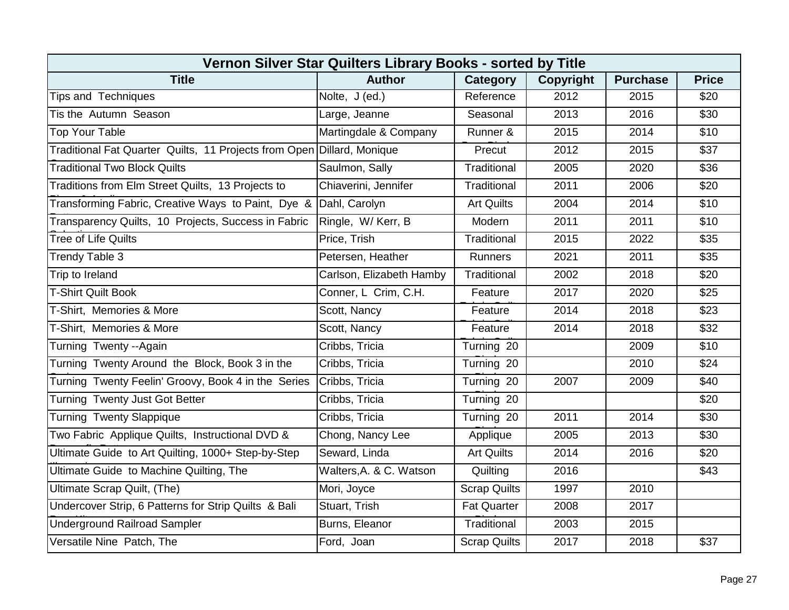| Vernon Silver Star Quilters Library Books - sorted by Title            |                          |                     |                  |                   |                  |
|------------------------------------------------------------------------|--------------------------|---------------------|------------------|-------------------|------------------|
| <b>Title</b>                                                           | <b>Author</b>            | Category            | <b>Copyright</b> | <b>Purchase</b>   | <b>Price</b>     |
| <b>Tips and Techniques</b>                                             | Nolte, J (ed.)           | Reference           | 2012             | 2015              | \$20             |
| Tis the Autumn Season                                                  | Large, Jeanne            | Seasonal            | 2013             | 2016              | \$30             |
| <b>Top Your Table</b>                                                  | Martingdale & Company    | Runner &            | 2015             | 2014              | \$10             |
| Traditional Fat Quarter Quilts, 11 Projects from Open Dillard, Monique |                          | Precut              | 2012             | 2015              | $\overline{$37}$ |
| <b>Traditional Two Block Quilts</b>                                    | Saulmon, Sally           | Traditional         | 2005             | 2020              | \$36             |
| Traditions from Elm Street Quilts, 13 Projects to                      | Chiaverini, Jennifer     | Traditional         | 2011             | 2006              | \$20             |
| Transforming Fabric, Creative Ways to Paint, Dye &                     | Dahl, Carolyn            | <b>Art Quilts</b>   | 2004             | 2014              | \$10             |
| Transparency Quilts, 10 Projects, Success in Fabric                    | Ringle, W/Kerr, B        | Modern              | 2011             | 2011              | \$10             |
| <b>Tree of Life Quilts</b>                                             | Price, Trish             | Traditional         | 2015             | 2022              | \$35             |
| Trendy Table 3                                                         | Petersen, Heather        | <b>Runners</b>      | 2021             | 2011              | \$35             |
| Trip to Ireland                                                        | Carlson, Elizabeth Hamby | Traditional         | 2002             | 2018              | \$20             |
| <b>T-Shirt Quilt Book</b>                                              | Conner, L Crim, C.H.     | Feature             | 2017             | 2020              | \$25             |
| T-Shirt, Memories & More                                               | Scott, Nancy             | Feature             | 2014             | 2018              | \$23             |
| T-Shirt, Memories & More                                               | Scott, Nancy             | Feature             | 2014             | 2018              | \$32             |
| Turning Twenty --Again                                                 | Cribbs, Tricia           | Turning 20          |                  | 2009              | \$10             |
| Turning Twenty Around the Block, Book 3 in the                         | Cribbs, Tricia           | Turning 20          |                  | 2010              | \$24             |
| Turning Twenty Feelin' Groovy, Book 4 in the Series                    | Cribbs, Tricia           | Turning 20          | 2007             | 2009              | \$40             |
| Turning Twenty Just Got Better                                         | Cribbs, Tricia           | Turning 20          |                  |                   | \$20             |
| <b>Turning Twenty Slappique</b>                                        | Cribbs, Tricia           | Turning 20          | 2011             | $\overline{2}014$ | \$30             |
| Two Fabric Applique Quilts, Instructional DVD &                        | Chong, Nancy Lee         | Applique            | 2005             | 2013              | \$30             |
| Ultimate Guide to Art Quilting, 1000+ Step-by-Step                     | Seward, Linda            | <b>Art Quilts</b>   | 2014             | 2016              | \$20             |
| Ultimate Guide to Machine Quilting, The                                | Walters, A. & C. Watson  | Quilting            | 2016             |                   | \$43             |
| Ultimate Scrap Quilt, (The)                                            | Mori, Joyce              | <b>Scrap Quilts</b> | 1997             | 2010              |                  |
| Undercover Strip, 6 Patterns for Strip Quilts & Bali                   | Stuart, Trish            | <b>Fat Quarter</b>  | 2008             | 2017              |                  |
| <b>Underground Railroad Sampler</b>                                    | Burns, Eleanor           | Traditional         | 2003             | 2015              |                  |
| Versatile Nine Patch, The                                              | Ford, Joan               | <b>Scrap Quilts</b> | 2017             | 2018              | \$37             |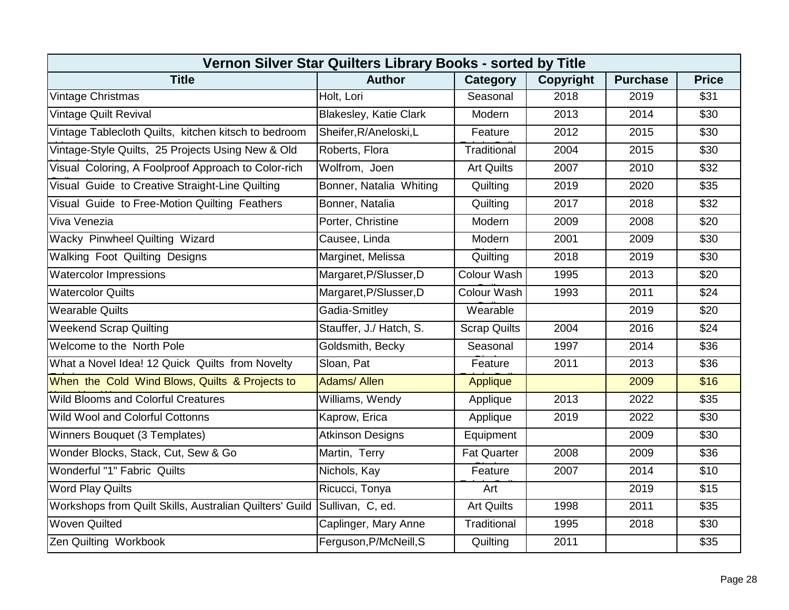| Vernon Silver Star Quilters Library Books - sorted by Title |                               |                     |                  |                 |                  |
|-------------------------------------------------------------|-------------------------------|---------------------|------------------|-----------------|------------------|
| <b>Title</b>                                                | <b>Author</b>                 | Category            | <b>Copyright</b> | <b>Purchase</b> | <b>Price</b>     |
| Vintage Christmas                                           | Holt, Lori                    | Seasonal            | 2018             | 2019            | \$31             |
| Vintage Quilt Revival                                       | <b>Blakesley, Katie Clark</b> | Modern              | 2013             | 2014            | \$30             |
| Vintage Tablecloth Quilts, kitchen kitsch to bedroom        | Sheifer, R/Aneloski, L        | Feature             | 2012             | 2015            | \$30             |
| Vintage-Style Quilts, 25 Projects Using New & Old           | Roberts, Flora                | Traditional         | 2004             | 2015            | \$30             |
| Visual Coloring, A Foolproof Approach to Color-rich         | Wolfrom, Joen                 | <b>Art Quilts</b>   | 2007             | 2010            | \$32             |
| Visual Guide to Creative Straight-Line Quilting             | Bonner, Natalia Whiting       | Quilting            | 2019             | 2020            | \$35             |
| Visual Guide to Free-Motion Quilting Feathers               | Bonner, Natalia               | Quilting            | 2017             | 2018            | $\overline{$32}$ |
| Viva Venezia                                                | Porter, Christine             | Modern              | 2009             | 2008            | \$20             |
| Wacky Pinwheel Quilting Wizard                              | Causee, Linda                 | Modern              | 2001             | 2009            | \$30             |
| Walking Foot Quilting Designs                               | Marginet, Melissa             | Quilting            | 2018             | 2019            | \$30             |
| <b>Watercolor Impressions</b>                               | Margaret, P/Slusser, D        | Colour Wash         | 1995             | 2013            | \$20             |
| <b>Watercolor Quilts</b>                                    | Margaret, P/Slusser, D        | Colour Wash         | 1993             | 2011            | \$24             |
| <b>Wearable Quilts</b>                                      | Gadia-Smitley                 | Wearable            |                  | 2019            | \$20             |
| <b>Weekend Scrap Quilting</b>                               | Stauffer, J./ Hatch, S.       | <b>Scrap Quilts</b> | 2004             | 2016            | \$24             |
| Welcome to the North Pole                                   | Goldsmith, Becky              | Seasonal            | 1997             | 2014            | \$36             |
| What a Novel Idea! 12 Quick Quilts from Novelty             | Sloan, Pat                    | Feature             | 2011             | 2013            | \$36             |
| When the Cold Wind Blows, Quilts & Projects to              | <b>Adams/Allen</b>            | <b>Applique</b>     |                  | 2009            | \$16             |
| <b>Wild Blooms and Colorful Creatures</b>                   | Williams, Wendy               | Applique            | 2013             | 2022            | \$35             |
| Wild Wool and Colorful Cottonns                             | Kaprow, Erica                 | Applique            | 2019             | 2022            | \$30             |
| Winners Bouquet (3 Templates)                               | <b>Atkinson Designs</b>       | Equipment           |                  | 2009            | \$30             |
| Wonder Blocks, Stack, Cut, Sew & Go                         | Martin, Terry                 | <b>Fat Quarter</b>  | 2008             | 2009            | \$36             |
| Wonderful "1" Fabric Quilts                                 | Nichols, Kay                  | Feature             | 2007             | 2014            | \$10             |
| <b>Word Play Quilts</b>                                     | Ricucci, Tonya                | Art                 |                  | 2019            | \$15             |
| Workshops from Quilt Skills, Australian Quilters' Guild     | Sullivan, C, ed.              | <b>Art Quilts</b>   | 1998             | 2011            | \$35             |
| <b>Woven Quilted</b>                                        | Caplinger, Mary Anne          | Traditional         | 1995             | 2018            | \$30             |
| Zen Quilting Workbook                                       | Ferguson, P/McNeill, S        | Quilting            | 2011             |                 | \$35             |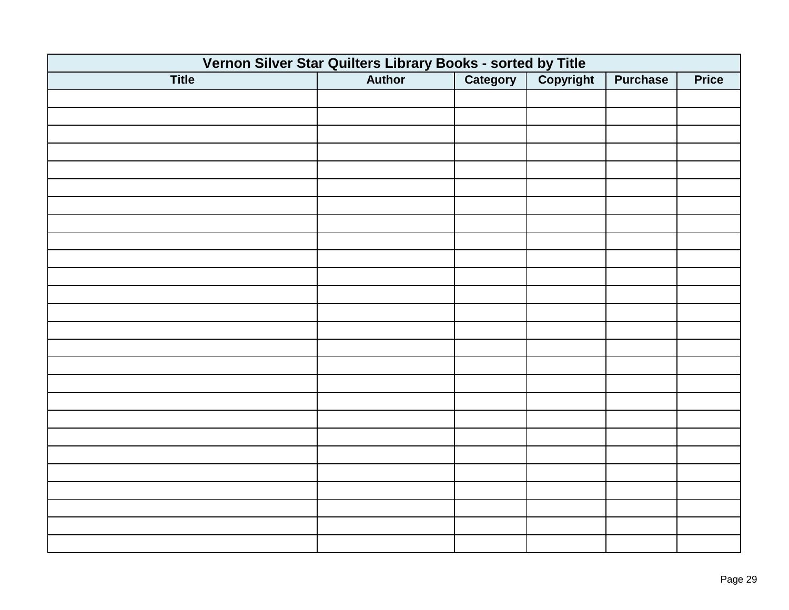| Vernon Silver Star Quilters Library Books - sorted by Title<br>Author   Category   Copyright |  |  |  |                 |              |  |
|----------------------------------------------------------------------------------------------|--|--|--|-----------------|--------------|--|
| <b>Title</b>                                                                                 |  |  |  | <b>Purchase</b> | <b>Price</b> |  |
|                                                                                              |  |  |  |                 |              |  |
|                                                                                              |  |  |  |                 |              |  |
|                                                                                              |  |  |  |                 |              |  |
|                                                                                              |  |  |  |                 |              |  |
|                                                                                              |  |  |  |                 |              |  |
|                                                                                              |  |  |  |                 |              |  |
|                                                                                              |  |  |  |                 |              |  |
|                                                                                              |  |  |  |                 |              |  |
|                                                                                              |  |  |  |                 |              |  |
|                                                                                              |  |  |  |                 |              |  |
|                                                                                              |  |  |  |                 |              |  |
|                                                                                              |  |  |  |                 |              |  |
|                                                                                              |  |  |  |                 |              |  |
|                                                                                              |  |  |  |                 |              |  |
|                                                                                              |  |  |  |                 |              |  |
|                                                                                              |  |  |  |                 |              |  |
|                                                                                              |  |  |  |                 |              |  |
|                                                                                              |  |  |  |                 |              |  |
|                                                                                              |  |  |  |                 |              |  |
|                                                                                              |  |  |  |                 |              |  |
|                                                                                              |  |  |  |                 |              |  |
|                                                                                              |  |  |  |                 |              |  |
|                                                                                              |  |  |  |                 |              |  |
|                                                                                              |  |  |  |                 |              |  |
|                                                                                              |  |  |  |                 |              |  |
|                                                                                              |  |  |  |                 |              |  |